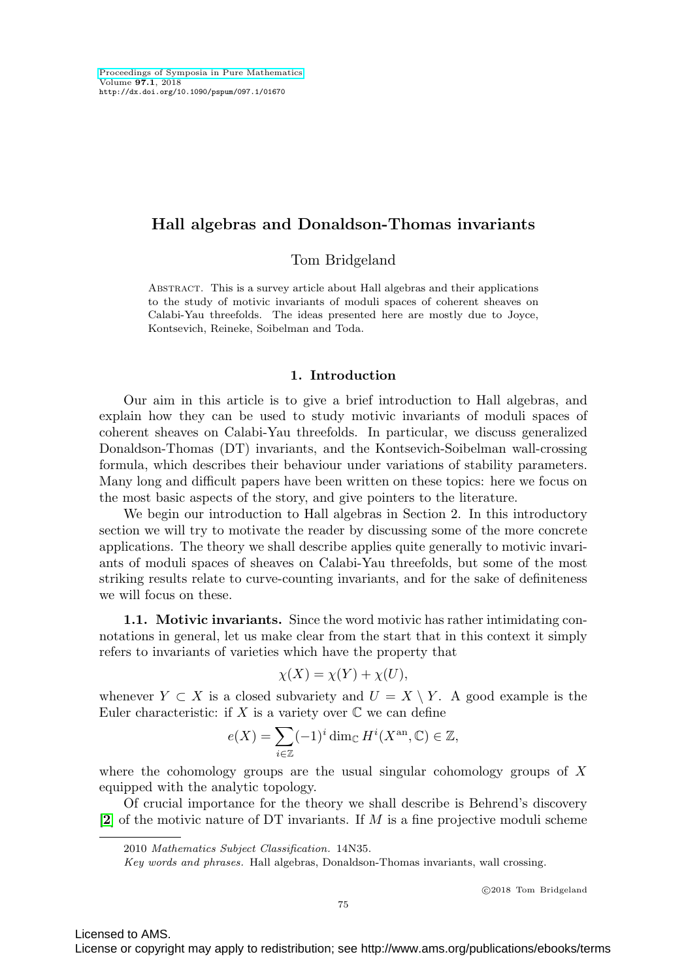# **Hall algebras and Donaldson-Thomas invariants**

Tom Bridgeland

Abstract. This is a survey article about Hall algebras and their applications to the study of motivic invariants of moduli spaces of coherent sheaves on Calabi-Yau threefolds. The ideas presented here are mostly due to Joyce, Kontsevich, Reineke, Soibelman and Toda.

## **1. Introduction**

Our aim in this article is to give a brief introduction to Hall algebras, and explain how they can be used to study motivic invariants of moduli spaces of coherent sheaves on Calabi-Yau threefolds. In particular, we discuss generalized Donaldson-Thomas (DT) invariants, and the Kontsevich-Soibelman wall-crossing formula, which describes their behaviour under variations of stability parameters. Many long and difficult papers have been written on these topics: here we focus on the most basic aspects of the story, and give pointers to the literature.

We begin our introduction to Hall algebras in Section 2. In this introductory section we will try to motivate the reader by discussing some of the more concrete applications. The theory we shall describe applies quite generally to motivic invariants of moduli spaces of sheaves on Calabi-Yau threefolds, but some of the most striking results relate to curve-counting invariants, and for the sake of definiteness we will focus on these.

**1.1. Motivic invariants.** Since the word motivic has rather intimidating connotations in general, let us make clear from the start that in this context it simply refers to invariants of varieties which have the property that

$$
\chi(X) = \chi(Y) + \chi(U),
$$

whenever  $Y \subset X$  is a closed subvariety and  $U = X \setminus Y$ . A good example is the Euler characteristic: if X is a variety over  $\mathbb C$  we can define

$$
e(X) = \sum_{i \in \mathbb{Z}} (-1)^i \dim_{\mathbb{C}} H^i(X^{\text{an}}, \mathbb{C}) \in \mathbb{Z},
$$

where the cohomology groups are the usual singular cohomology groups of  $X$ equipped with the analytic topology.

Of crucial importance for the theory we shall describe is Behrend's discovery [**[2](#page-23-0)**] of the motivic nature of DT invariants. If M is a fine projective moduli scheme

-c 2018 Tom Bridgeland

Licensed to AMS.

<sup>2010</sup> Mathematics Subject Classification. 14N35.

Key words and phrases. Hall algebras, Donaldson-Thomas invariants, wall crossing.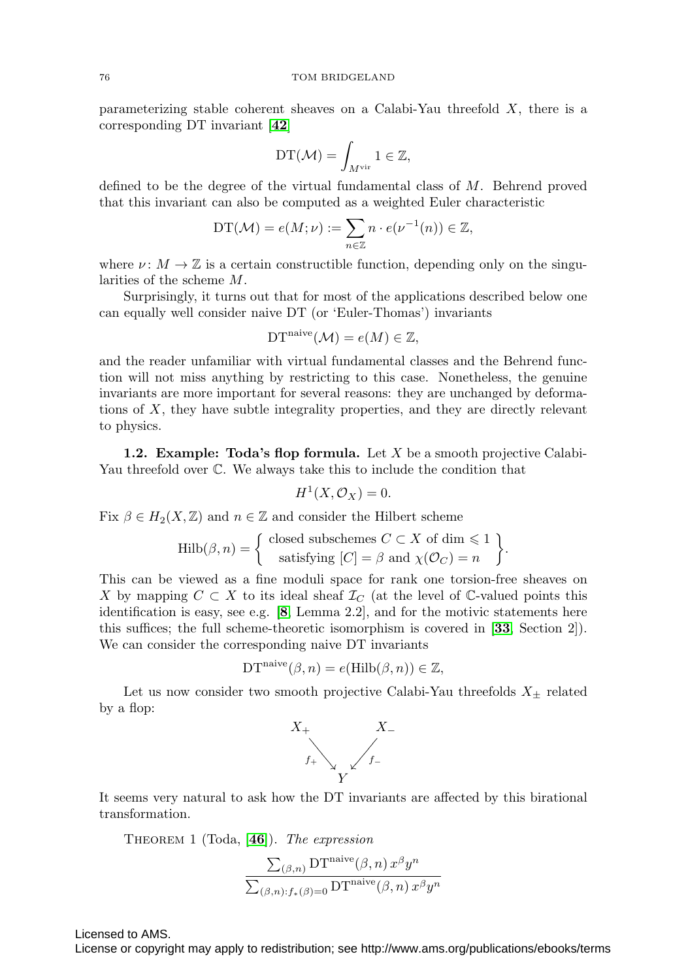parameterizing stable coherent sheaves on a Calabi-Yau threefold  $X$ , there is a corresponding DT invariant [**[42](#page-25-0)**]

$$
\mathrm{DT}(\mathcal{M})=\int_{M^{\mathrm{vir}}} 1\in \mathbb{Z},
$$

defined to be the degree of the virtual fundamental class of M. Behrend proved that this invariant can also be computed as a weighted Euler characteristic

$$
DT(\mathcal{M}) = e(M; \nu) := \sum_{n \in \mathbb{Z}} n \cdot e(\nu^{-1}(n)) \in \mathbb{Z},
$$

where  $\nu: M \to \mathbb{Z}$  is a certain constructible function, depending only on the singularities of the scheme M.

Surprisingly, it turns out that for most of the applications described below one can equally well consider naive DT (or 'Euler-Thomas') invariants

$$
\mathrm{DT}^{\mathrm{naive}}(\mathcal{M}) = e(M) \in \mathbb{Z},
$$

and the reader unfamiliar with virtual fundamental classes and the Behrend function will not miss anything by restricting to this case. Nonetheless, the genuine invariants are more important for several reasons: they are unchanged by deformations of  $X$ , they have subtle integrality properties, and they are directly relevant to physics.

**1.2. Example: Toda's flop formula.** Let X be a smooth projective Calabi-Yau threefold over C. We always take this to include the condition that

$$
H^1(X, \mathcal{O}_X) = 0.
$$

Fix  $\beta \in H_2(X, \mathbb{Z})$  and  $n \in \mathbb{Z}$  and consider the Hilbert scheme

$$
\mathrm{Hilb}(\beta, n) = \left\{ \begin{array}{c} \text{closed subschemes } C \subset X \text{ of } \dim \leq 1 \\ \text{satisfying } [C] = \beta \text{ and } \chi(\mathcal{O}_C) = n \end{array} \right\}.
$$

This can be viewed as a fine moduli space for rank one torsion-free sheaves on X by mapping  $C \subset X$  to its ideal sheaf  $\mathcal{I}_C$  (at the level of C-valued points this identification is easy, see e.g. [**[8](#page-23-1)**, Lemma 2.2], and for the motivic statements here this suffices; the full scheme-theoretic isomorphism is covered in [**[33](#page-24-0)**, Section 2]). We can consider the corresponding naive DT invariants

$$
\mathrm{DT}^{\mathrm{naive}}(\beta, n) = e(\mathrm{Hilb}(\beta, n)) \in \mathbb{Z},
$$

Let us now consider two smooth projective Calabi-Yau threefolds  $X_{\pm}$  related by a flop:



It seems very natural to ask how the DT invariants are affected by this birational transformation.

<span id="page-1-0"></span>Theorem 1 (Toda, [**[46](#page-25-1)**]). The expression

$$
\frac{\sum_{(\beta,n)}\mathop{\rm DT}\nolimits^{\rm naive}(\beta,n)\,x^{\beta}y^n}{\sum_{(\beta,n):\mathcal{f}_{*}(\beta)=0}\mathop{\rm DT}\nolimits^{\rm naive}(\beta,n)\,x^{\beta}y^n}
$$

Licensed to AMS.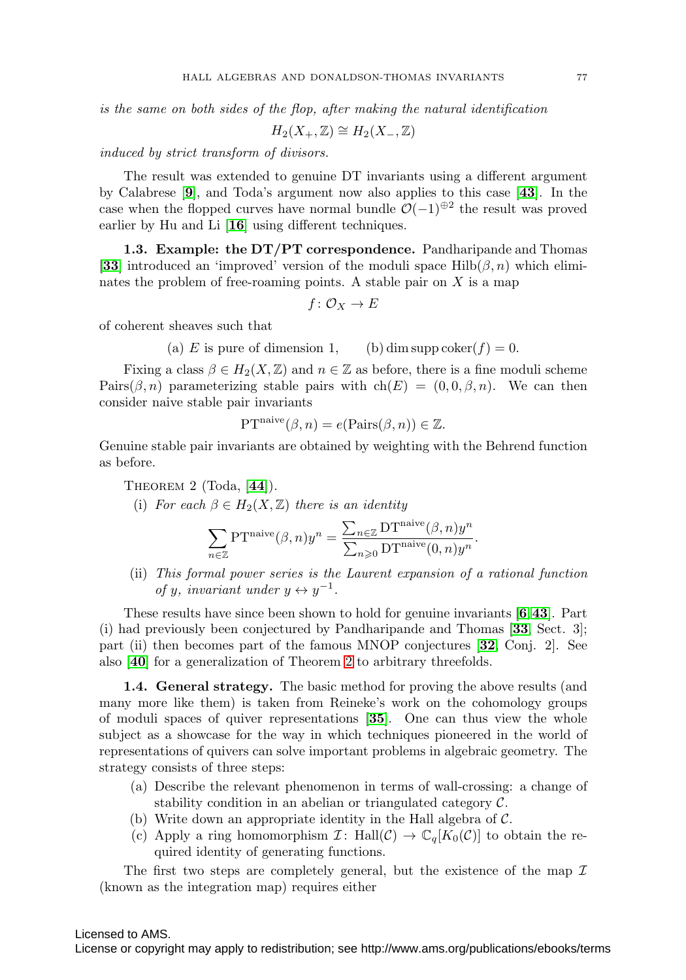is the same on both sides of the flop, after making the natural identification

$$
H_2(X_+,\mathbb{Z}) \cong H_2(X_-,\mathbb{Z})
$$

induced by strict transform of divisors.

The result was extended to genuine DT invariants using a different argument by Calabrese [**[9](#page-23-2)**], and Toda's argument now also applies to this case [**[43](#page-25-2)**]. In the case when the flopped curves have normal bundle  $\mathcal{O}(-1)^{\oplus 2}$  the result was proved earlier by Hu and Li [**[16](#page-24-1)**] using different techniques.

<span id="page-2-1"></span>**1.3. Example: the DT/PT correspondence.** Pandharipande and Thomas [**[33](#page-24-0)**] introduced an 'improved' version of the moduli space Hilb $(\beta, n)$  which eliminates the problem of free-roaming points. A stable pair on  $X$  is a map

$$
f\colon \mathcal{O}_X\to E
$$

of coherent sheaves such that

(a) E is pure of dimension 1, (b) dim supp coker(f) = 0.

Fixing a class  $\beta \in H_2(X, \mathbb{Z})$  and  $n \in \mathbb{Z}$  as before, there is a fine moduli scheme Pairs( $\beta$ ,n) parameterizing stable pairs with ch(E) =  $(0, 0, \beta, n)$ . We can then consider naive stable pair invariants

$$
\mathrm{PT}^{\mathrm{naive}}(\beta, n) = e(\mathrm{Pairs}(\beta, n)) \in \mathbb{Z}.
$$

Genuine stable pair invariants are obtained by weighting with the Behrend function as before.

<span id="page-2-0"></span>Theorem 2 (Toda, [**[44](#page-25-3)**]).

(i) For each  $\beta \in H_2(X, \mathbb{Z})$  there is an identity

$$
\sum_{n \in \mathbb{Z}} \mathrm{PT}^{\mathrm{naive}}(\beta, n) y^n = \frac{\sum_{n \in \mathbb{Z}} \mathrm{DT}^{\mathrm{naive}}(\beta, n) y^n}{\sum_{n \geq 0} \mathrm{DT}^{\mathrm{naive}}(0, n) y^n}.
$$

(ii) This formal power series is the Laurent expansion of a rational function of y, invariant under  $y \leftrightarrow y^{-1}$ .

These results have since been shown to hold for genuine invariants [**[6](#page-23-3)**,**[43](#page-25-2)**]. Part (i) had previously been conjectured by Pandharipande and Thomas [**[33](#page-24-0)**, Sect. 3]; part (ii) then becomes part of the famous MNOP conjectures [**[32](#page-24-2)**, Conj. 2]. See also [**[40](#page-25-4)**] for a generalization of Theorem [2](#page-2-0) to arbitrary threefolds.

**1.4. General strategy.** The basic method for proving the above results (and many more like them) is taken from Reineke's work on the cohomology groups of moduli spaces of quiver representations [**[35](#page-25-5)**]. One can thus view the whole subject as a showcase for the way in which techniques pioneered in the world of representations of quivers can solve important problems in algebraic geometry. The strategy consists of three steps:

- (a) Describe the relevant phenomenon in terms of wall-crossing: a change of stability condition in an abelian or triangulated category  $\mathcal{C}$ .
- (b) Write down an appropriate identity in the Hall algebra of  $\mathcal{C}$ .
- (c) Apply a ring homomorphism  $\mathcal{I}$ : Hall $(\mathcal{C}) \to \mathbb{C}_q[K_0(\mathcal{C})]$  to obtain the required identity of generating functions.

The first two steps are completely general, but the existence of the map  $\mathcal I$ (known as the integration map) requires either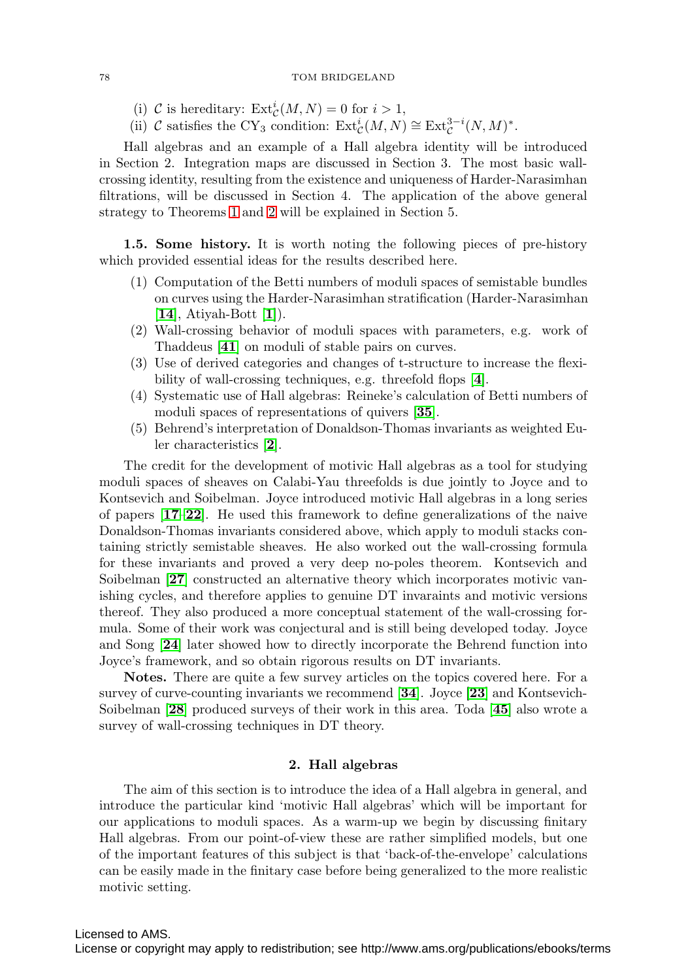- (i) C is hereditary:  $\text{Ext}^i_{\mathcal{C}}(M,N) = 0$  for  $i > 1$ ,
- (ii) C satisfies the CY<sub>3</sub> condition:  $\text{Ext}^i_{\mathcal{C}}(M,N) \cong \text{Ext}^{3-i}_{\mathcal{C}}(N,M)^*$ .

Hall algebras and an example of a Hall algebra identity will be introduced in Section 2. Integration maps are discussed in Section 3. The most basic wallcrossing identity, resulting from the existence and uniqueness of Harder-Narasimhan filtrations, will be discussed in Section 4. The application of the above general strategy to Theorems [1](#page-1-0) and [2](#page-2-0) will be explained in Section 5.

**1.5. Some history.** It is worth noting the following pieces of pre-history which provided essential ideas for the results described here.

- (1) Computation of the Betti numbers of moduli spaces of semistable bundles on curves using the Harder-Narasimhan stratification (Harder-Narasimhan [**[14](#page-24-3)**], Atiyah-Bott [**[1](#page-23-4)**]).
- (2) Wall-crossing behavior of moduli spaces with parameters, e.g. work of Thaddeus [**[41](#page-25-6)**] on moduli of stable pairs on curves.
- (3) Use of derived categories and changes of t-structure to increase the flexibility of wall-crossing techniques, e.g. threefold flops [**[4](#page-23-5)**].
- (4) Systematic use of Hall algebras: Reineke's calculation of Betti numbers of moduli spaces of representations of quivers [**[35](#page-25-5)**].
- (5) Behrend's interpretation of Donaldson-Thomas invariants as weighted Euler characteristics [**[2](#page-23-0)**].

The credit for the development of motivic Hall algebras as a tool for studying moduli spaces of sheaves on Calabi-Yau threefolds is due jointly to Joyce and to Kontsevich and Soibelman. Joyce introduced motivic Hall algebras in a long series of papers [**[17](#page-24-4)**–**[22](#page-24-5)**]. He used this framework to define generalizations of the naive Donaldson-Thomas invariants considered above, which apply to moduli stacks containing strictly semistable sheaves. He also worked out the wall-crossing formula for these invariants and proved a very deep no-poles theorem. Kontsevich and Soibelman [[27](#page-24-6)] constructed an alternative theory which incorporates motivic vanishing cycles, and therefore applies to genuine DT invaraints and motivic versions thereof. They also produced a more conceptual statement of the wall-crossing formula. Some of their work was conjectural and is still being developed today. Joyce and Song [**[24](#page-24-7)**] later showed how to directly incorporate the Behrend function into Joyce's framework, and so obtain rigorous results on DT invariants.

**Notes.** There are quite a few survey articles on the topics covered here. For a survey of curve-counting invariants we recommend [**[34](#page-25-7)**]. Joyce [**[23](#page-24-8)**] and Kontsevich-Soibelman [**[28](#page-24-9)**] produced surveys of their work in this area. Toda [**[45](#page-25-8)**] also wrote a survey of wall-crossing techniques in DT theory.

## **2. Hall algebras**

The aim of this section is to introduce the idea of a Hall algebra in general, and introduce the particular kind 'motivic Hall algebras' which will be important for our applications to moduli spaces. As a warm-up we begin by discussing finitary Hall algebras. From our point-of-view these are rather simplified models, but one of the important features of this subject is that 'back-of-the-envelope' calculations can be easily made in the finitary case before being generalized to the more realistic motivic setting.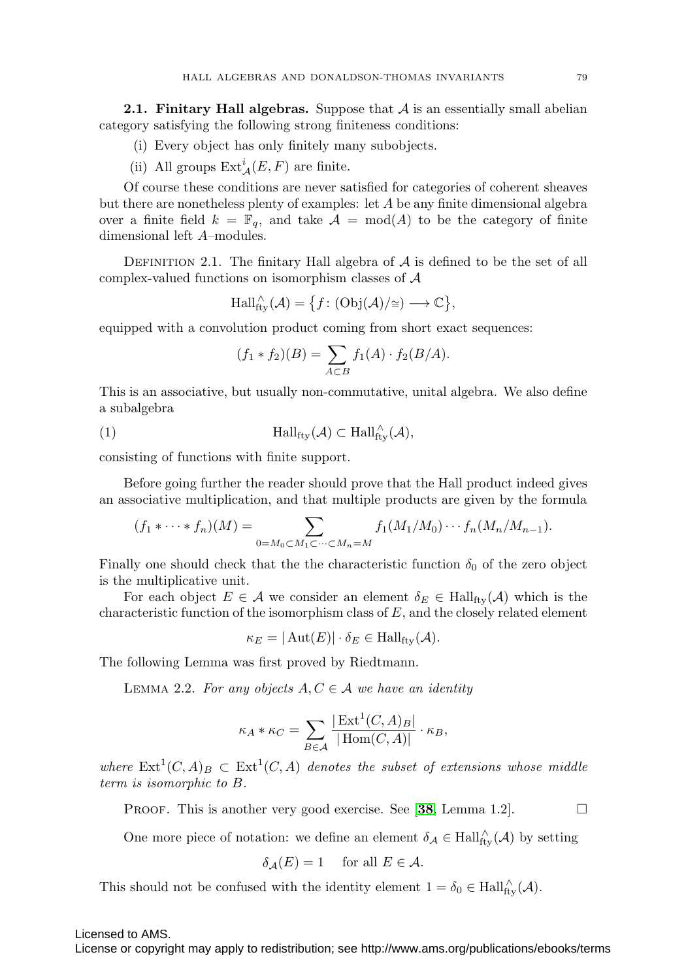<span id="page-4-0"></span>**2.1. Finitary Hall algebras.** Suppose that  $A$  is an essentially small abelian category satisfying the following strong finiteness conditions:

- (i) Every object has only finitely many subobjects.
- (ii) All groups  $\mathrm{Ext}^i_{\mathcal{A}}(E,F)$  are finite.

Of course these conditions are never satisfied for categories of coherent sheaves but there are nonetheless plenty of examples: let A be any finite dimensional algebra over a finite field  $k = \mathbb{F}_q$ , and take  $\mathcal{A} = \text{mod}(A)$  to be the category of finite dimensional left A–modules.

DEFINITION 2.1. The finitary Hall algebra of  $A$  is defined to be the set of all complex-valued functions on isomorphism classes of A

$$
\operatorname{Hall}^{\wedge}_{\operatorname{fty}}(\mathcal{A}) = \{f \colon (\operatorname{Obj}(\mathcal{A})/\cong) \longrightarrow \mathbb{C}\},\
$$

equipped with a convolution product coming from short exact sequences:

$$
(f_1 * f_2)(B) = \sum_{A \subset B} f_1(A) \cdot f_2(B/A).
$$

This is an associative, but usually non-commutative, unital algebra. We also define a subalgebra

<span id="page-4-2"></span>(1) 
$$
\mathrm{Hall}_{\mathrm{fly}}(\mathcal{A}) \subset \mathrm{Hall}_{\mathrm{fly}}^{\wedge}(\mathcal{A}),
$$

consisting of functions with finite support.

Before going further the reader should prove that the Hall product indeed gives an associative multiplication, and that multiple products are given by the formula

$$
(f_1*\cdots*f_n)(M)=\sum_{0=M_0\subset M_1\subset\cdots\subset M_n=M}f_1(M_1/M_0)\cdots f_n(M_n/M_{n-1}).
$$

Finally one should check that the the characteristic function  $\delta_0$  of the zero object is the multiplicative unit.

For each object  $E \in \mathcal{A}$  we consider an element  $\delta_E \in \text{Hall}_{\text{ftv}}(\mathcal{A})$  which is the characteristic function of the isomorphism class of  $E$ , and the closely related element

$$
\kappa_E = |\operatorname{Aut}(E)| \cdot \delta_E \in \operatorname{Hall}_{\text{fty}}(\mathcal{A}).
$$

The following Lemma was first proved by Riedtmann.

<span id="page-4-1"></span>LEMMA 2.2. For any objects  $A, C \in \mathcal{A}$  we have an identity

$$
\kappa_A * \kappa_C = \sum_{B \in \mathcal{A}} \frac{|\operatorname{Ext}^1(C, A)_B|}{|\operatorname{Hom}(C, A)|} \cdot \kappa_B,
$$

where  $\text{Ext}^1(C, A)_B \subset \text{Ext}^1(C, A)$  denotes the subset of extensions whose middle term is isomorphic to B.

**PROOF.** This is another very good exercise. See [[38](#page-25-9), Lemma 1.2].  $\square$ 

One more piece of notation: we define an element  $\delta_{\mathcal{A}} \in \text{Hall}_{\text{fty}}^{\wedge}(\mathcal{A})$  by setting

$$
\delta_{\mathcal{A}}(E) = 1 \quad \text{ for all } E \in \mathcal{A}.
$$

This should not be confused with the identity element  $1 = \delta_0 \in \text{Hall}_{\text{fly}}^{\wedge}(\mathcal{A})$ .

Licensed to AMS.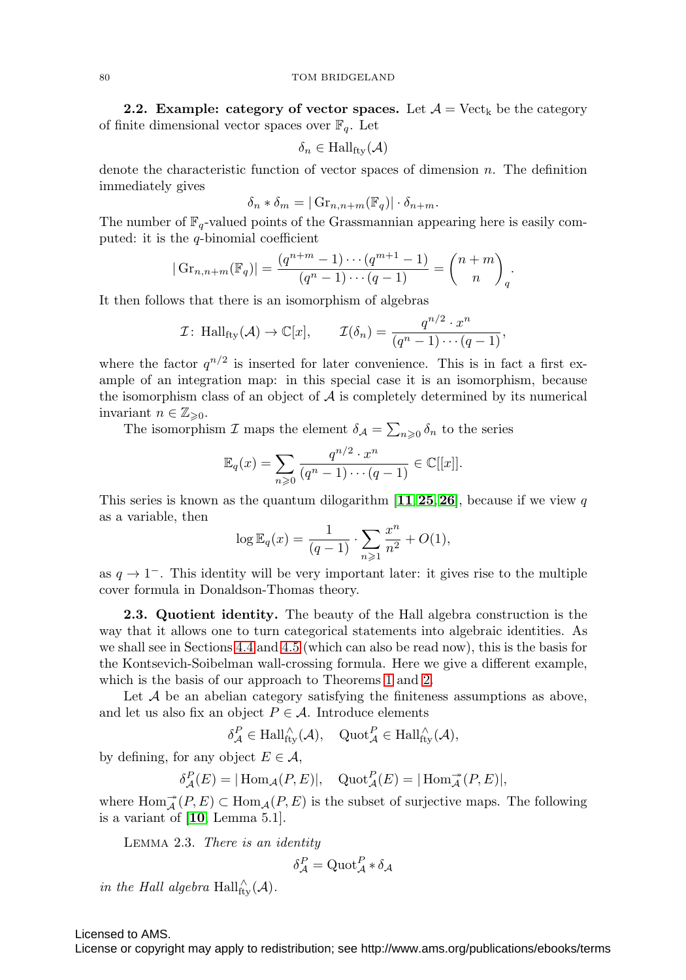<span id="page-5-1"></span>**2.2. Example: category of vector spaces.** Let  $\mathcal{A} = \text{Vect}_k$  be the category of finite dimensional vector spaces over  $\mathbb{F}_q$ . Let

$$
\delta_n \in \text{Hall}_{\text{fty}}(\mathcal{A})
$$

denote the characteristic function of vector spaces of dimension  $n$ . The definition immediately gives

$$
\delta_n * \delta_m = |\operatorname{Gr}_{n,n+m}(\mathbb{F}_q)| \cdot \delta_{n+m}.
$$

The number of  $\mathbb{F}_q$ -valued points of the Grassmannian appearing here is easily computed: it is the q-binomial coefficient

$$
|\operatorname{Gr}_{n,n+m}(\mathbb{F}_q)| = \frac{(q^{n+m}-1)\cdots(q^{m+1}-1)}{(q^n-1)\cdots(q-1)} = \binom{n+m}{n}_q.
$$

It then follows that there is an isomorphism of algebras

$$
\mathcal{I} \colon \operatorname{Hall}_{\text{fly}}(\mathcal{A}) \to \mathbb{C}[x], \qquad \mathcal{I}(\delta_n) = \frac{q^{n/2} \cdot x^n}{(q^n - 1) \cdots (q - 1)},
$$

where the factor  $q^{n/2}$  is inserted for later convenience. This is in fact a first example of an integration map: in this special case it is an isomorphism, because the isomorphism class of an object of  $A$  is completely determined by its numerical invariant  $n \in \mathbb{Z}_{\geqslant 0}$ .

The isomorphism  $\mathcal I$  maps the element  $\delta_{\mathcal A} = \sum_{n\geqslant 0} \delta_n$  to the series

$$
\mathbb{E}_q(x) = \sum_{n\geqslant 0} \frac{q^{n/2} \cdot x^n}{(q^n - 1) \cdots (q - 1)} \in \mathbb{C}[[x]].
$$

This series is known as the quantum dilogarithm  $\left[11, 25, 26\right]$  $\left[11, 25, 26\right]$  $\left[11, 25, 26\right]$  $\left[11, 25, 26\right]$  $\left[11, 25, 26\right]$  $\left[11, 25, 26\right]$  $\left[11, 25, 26\right]$ , because if we view q as a variable, then

$$
\log \mathbb{E}_q(x) = \frac{1}{(q-1)} \cdot \sum_{n \geq 1} \frac{x^n}{n^2} + O(1),
$$

as  $q \to 1^-$ . This identity will be very important later: it gives rise to the multiple cover formula in Donaldson-Thomas theory.

**2.3. Quotient identity.** The beauty of the Hall algebra construction is the way that it allows one to turn categorical statements into algebraic identities. As we shall see in Sections [4.4](#page-16-0) and [4.5](#page-17-0) (which can also be read now), this is the basis for the Kontsevich-Soibelman wall-crossing formula. Here we give a different example, which is the basis of our approach to Theorems [1](#page-1-0) and [2.](#page-2-0)

Let  $A$  be an abelian category satisfying the finiteness assumptions as above, and let us also fix an object  $P \in \mathcal{A}$ . Introduce elements

$$
\delta_{\mathcal{A}}^P \in \text{Hall}_{\text{fty}}^{\wedge}(\mathcal{A}), \quad \text{Quot}_{\mathcal{A}}^P \in \text{Hall}_{\text{fty}}^{\wedge}(\mathcal{A}),
$$

by defining, for any object  $E \in \mathcal{A}$ ,

$$
\delta^P_{\mathcal{A}}(E) = |\operatorname{Hom}_{\mathcal{A}}(P, E)|, \quad \operatorname{Quot}^P_{\mathcal{A}}(E) = |\operatorname{Hom}^{\twoheadrightarrow}_{\mathcal{A}}(P, E)|,
$$

where  $\text{Hom}_{\mathcal{A}}^{\rightarrow}(P, E) \subset \text{Hom}_{\mathcal{A}}(P, E)$  is the subset of surjective maps. The following is a variant of [**[10](#page-23-6)**, Lemma 5.1].

<span id="page-5-0"></span>Lemma 2.3. There is an identity

$$
\delta^P_{\mathcal{A}} = \mathrm{Quot}_{\mathcal{A}}^P * \delta_{\mathcal{A}}
$$

in the Hall algebra  $\text{Hall}_{\text{fty}}^{\wedge}(\mathcal{A})$ .

Licensed to AMS.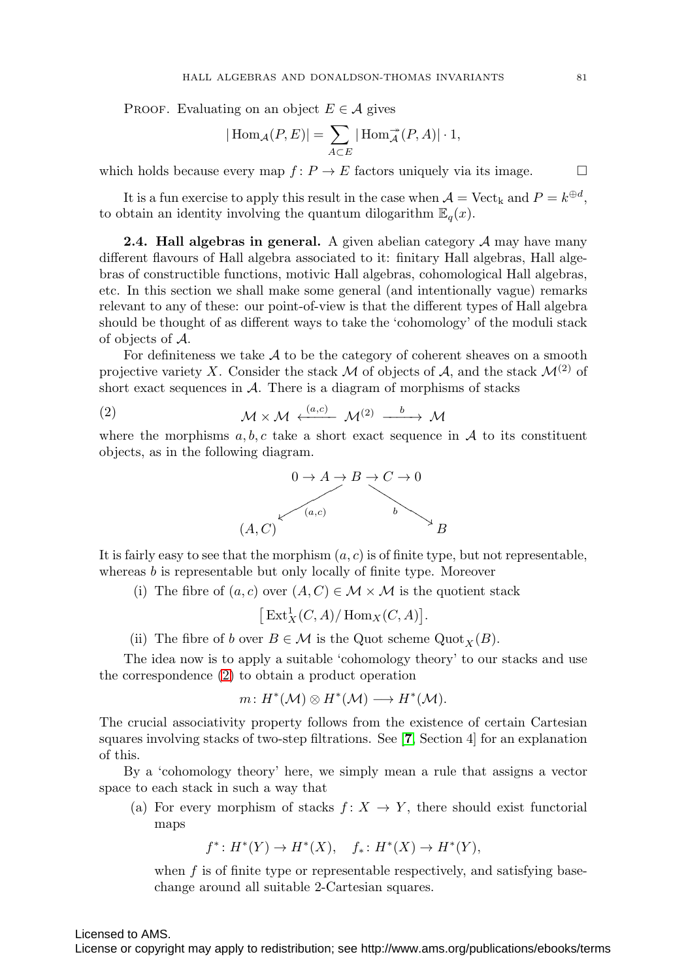PROOF. Evaluating on an object  $E \in \mathcal{A}$  gives

$$
|\operatorname{Hom}_{\mathcal{A}}(P,E)| = \sum_{A \subset E} |\operatorname{Hom}_{\mathcal{A}}^{\twoheadrightarrow}(P,A)| \cdot 1,
$$

which holds because every map  $f: P \to E$  factors uniquely via its image.  $\Box$ 

It is a fun exercise to apply this result in the case when  $\mathcal{A} = \text{Vect}_k$  and  $P = k^{\oplus d}$ , to obtain an identity involving the quantum dilogarithm  $\mathbb{E}_q(x)$ .

<span id="page-6-1"></span>**2.4. Hall algebras in general.** A given abelian category A may have many different flavours of Hall algebra associated to it: finitary Hall algebras, Hall algebras of constructible functions, motivic Hall algebras, cohomological Hall algebras, etc. In this section we shall make some general (and intentionally vague) remarks relevant to any of these: our point-of-view is that the different types of Hall algebra should be thought of as different ways to take the 'cohomology' of the moduli stack of objects of A.

For definiteness we take  $A$  to be the category of coherent sheaves on a smooth projective variety X. Consider the stack M of objects of A, and the stack  $\mathcal{M}^{(2)}$  of short exact sequences in  $A$ . There is a diagram of morphisms of stacks

<span id="page-6-0"></span>(2) 
$$
\mathcal{M} \times \mathcal{M} \xleftarrow{(a,c)} \mathcal{M}^{(2)} \xrightarrow{b} \mathcal{M}
$$

where the morphisms  $a, b, c$  take a short exact sequence in  $A$  to its constituent objects, as in the following diagram.



It is fairly easy to see that the morphism  $(a, c)$  is of finite type, but not representable, whereas  $b$  is representable but only locally of finite type. Moreover

(i) The fibre of  $(a, c)$  over  $(A, C) \in \mathcal{M} \times \mathcal{M}$  is the quotient stack

 $\left[ \text{Ext}^1_X(C,A)/\text{Hom}_X(C,A) \right].$ 

(ii) The fibre of b over  $B \in \mathcal{M}$  is the Quot scheme Quot  $_X(B)$ .

The idea now is to apply a suitable 'cohomology theory' to our stacks and use the correspondence [\(2\)](#page-6-0) to obtain a product operation

$$
m\colon H^*(\mathcal{M})\otimes H^*(\mathcal{M})\longrightarrow H^*(\mathcal{M}).
$$

The crucial associativity property follows from the existence of certain Cartesian squares involving stacks of two-step filtrations. See [**[7](#page-23-7)**, Section 4] for an explanation of this.

By a 'cohomology theory' here, we simply mean a rule that assigns a vector space to each stack in such a way that

(a) For every morphism of stacks  $f: X \to Y$ , there should exist functorial maps

$$
f^*: H^*(Y) \to H^*(X), \quad f_*: H^*(X) \to H^*(Y),
$$

when  $f$  is of finite type or representable respectively, and satisfying basechange around all suitable 2-Cartesian squares.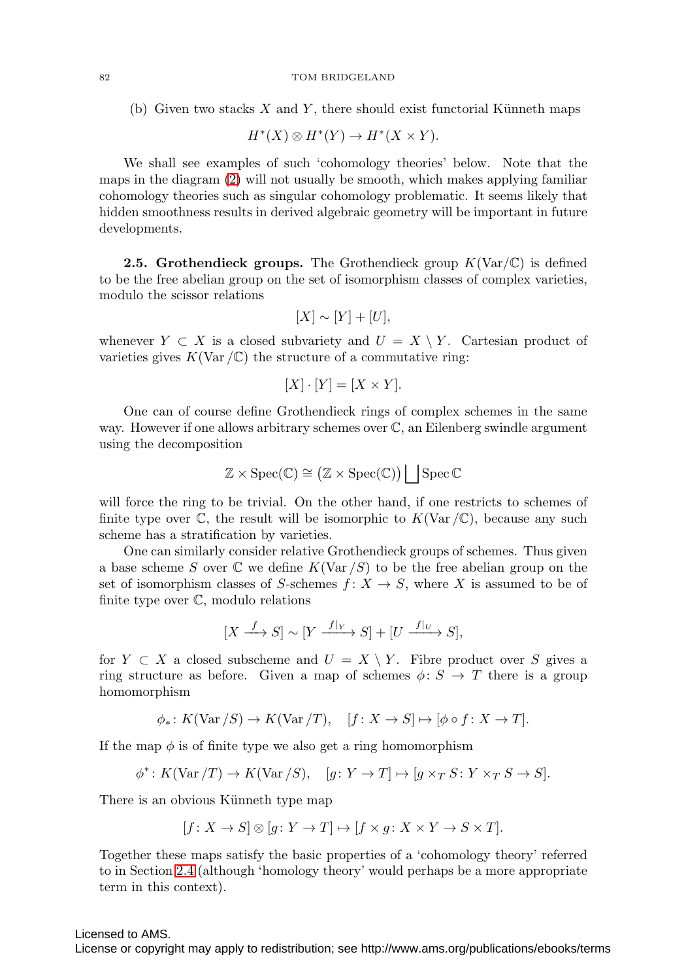(b) Given two stacks  $X$  and  $Y$ , there should exist functorial Künneth maps

$$
H^*(X) \otimes H^*(Y) \to H^*(X \times Y).
$$

We shall see examples of such 'cohomology theories' below. Note that the maps in the diagram [\(2\)](#page-6-0) will not usually be smooth, which makes applying familiar cohomology theories such as singular cohomology problematic. It seems likely that hidden smoothness results in derived algebraic geometry will be important in future developments.

**2.5. Grothendieck groups.** The Grothendieck group  $K(\text{Var}/\mathbb{C})$  is defined to be the free abelian group on the set of isomorphism classes of complex varieties, modulo the scissor relations

$$
[X] \sim [Y] + [U],
$$

whenever  $Y \subset X$  is a closed subvariety and  $U = X \setminus Y$ . Cartesian product of varieties gives  $K(\text{Var } / \mathbb{C})$  the structure of a commutative ring:

$$
[X] \cdot [Y] = [X \times Y].
$$

One can of course define Grothendieck rings of complex schemes in the same way. However if one allows arbitrary schemes over C, an Eilenberg swindle argument using the decomposition

$$
\mathbb{Z} \times \operatorname{Spec}(\mathbb{C}) \cong \big( \mathbb{Z} \times \operatorname{Spec}(\mathbb{C}) \big) \big| \left[ \operatorname{Spec} \mathbb{C} \right]
$$

will force the ring to be trivial. On the other hand, if one restricts to schemes of finite type over  $\mathbb C$ , the result will be isomorphic to  $K(\text{Var }/\mathbb C)$ , because any such scheme has a stratification by varieties.

One can similarly consider relative Grothendieck groups of schemes. Thus given a base scheme S over  $\mathbb C$  we define  $K(\text{Var}/S)$  to be the free abelian group on the set of isomorphism classes of S-schemes  $f: X \to S$ , where X is assumed to be of finite type over C, modulo relations

$$
[X \xrightarrow{f} S] \sim [Y \xrightarrow{f|_Y} S] + [U \xrightarrow{f|_U} S],
$$

for  $Y \subset X$  a closed subscheme and  $U = X \setminus Y$ . Fibre product over S gives a ring structure as before. Given a map of schemes  $\phi: S \to T$  there is a group homomorphism

$$
\phi_*\colon K(\text{Var}/S) \to K(\text{Var}/T), \quad [f\colon X \to S] \mapsto [\phi \circ f\colon X \to T].
$$

If the map  $\phi$  is of finite type we also get a ring homomorphism

$$
\phi^* \colon K(\text{Var}/T) \to K(\text{Var}/S), \quad [g \colon Y \to T] \mapsto [g \times_T S \colon Y \times_T S \to S].
$$

There is an obvious Künneth type map

$$
[f: X \to S] \otimes [g: Y \to T] \mapsto [f \times g: X \times Y \to S \times T].
$$

Together these maps satisfy the basic properties of a 'cohomology theory' referred to in Section [2.4](#page-6-1) (although 'homology theory' would perhaps be a more appropriate term in this context).

## Licensed to AMS.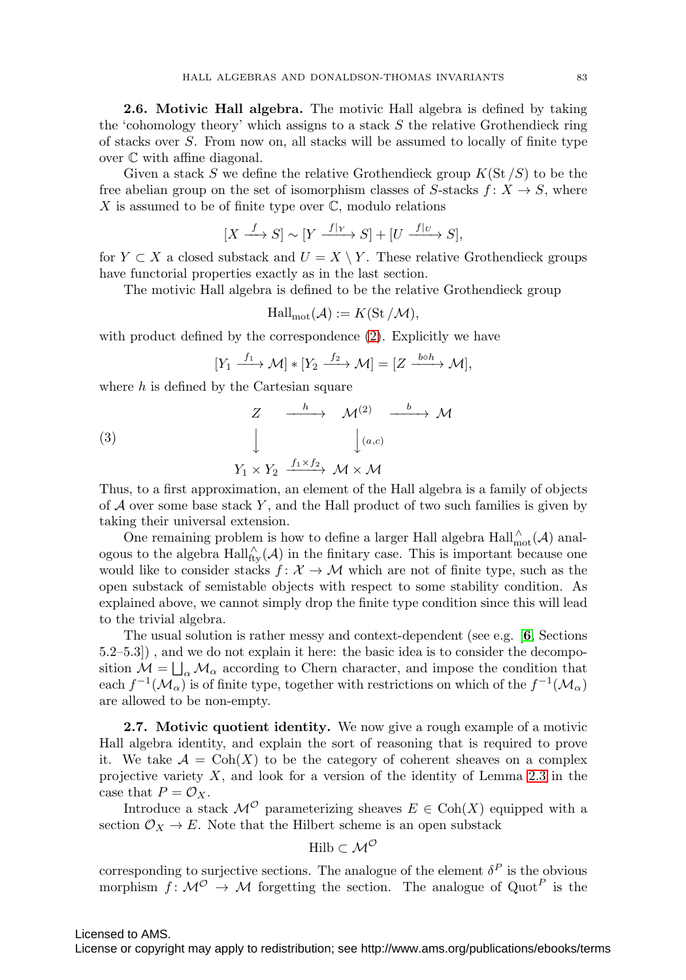**2.6. Motivic Hall algebra.** The motivic Hall algebra is defined by taking the 'cohomology theory' which assigns to a stack  $S$  the relative Grothendieck ring of stacks over S. From now on, all stacks will be assumed to locally of finite type over C with affine diagonal.

Given a stack S we define the relative Grothendieck group  $K(\operatorname{St}/S)$  to be the free abelian group on the set of isomorphism classes of S-stacks  $f: X \to S$ , where X is assumed to be of finite type over  $\mathbb{C}$ , modulo relations

$$
[X \xrightarrow{f} S] \sim [Y \xrightarrow{f|_Y} S] + [U \xrightarrow{f|_U} S],
$$

for  $Y \subset X$  a closed substack and  $U = X \setminus Y$ . These relative Grothendieck groups have functorial properties exactly as in the last section.

The motivic Hall algebra is defined to be the relative Grothendieck group

$$
Hall_{mot}(\mathcal{A}) := K(St/\mathcal{M}),
$$

with product defined by the correspondence [\(2\)](#page-6-0). Explicitly we have

$$
[Y_1 \xrightarrow{f_1} \mathcal{M}] * [Y_2 \xrightarrow{f_2} \mathcal{M}] = [Z \xrightarrow{b \circ h} \mathcal{M}],
$$

where  $h$  is defined by the Cartesian square

<span id="page-8-0"></span>(3)  

$$
\begin{array}{cccc}\nZ & \xrightarrow{h} & \mathcal{M}^{(2)} & \xrightarrow{b} & \mathcal{M}^{(3)} \\
& \downarrow & & \downarrow (a,c) \\
& & Y_1 \times Y_2 & \xrightarrow{f_1 \times f_2} & \mathcal{M} \times \mathcal{M}\n\end{array}
$$

Thus, to a first approximation, an element of the Hall algebra is a family of objects of  $A$  over some base stack  $Y$ , and the Hall product of two such families is given by taking their universal extension.

One remaining problem is how to define a larger Hall algebra  $\text{Hall}_{\text{mot}}^{\wedge}(\mathcal{A})$  analogous to the algebra  $\text{Hall}_{\text{fly}}^{\wedge}(\mathcal{A})$  in the finitary case. This is important because one would like to consider stacks  $f: \mathcal{X} \to \mathcal{M}$  which are not of finite type, such as the open substack of semistable objects with respect to some stability condition. As explained above, we cannot simply drop the finite type condition since this will lead to the trivial algebra.

The usual solution is rather messy and context-dependent (see e.g. [**[6](#page-23-3)**, Sections 5.2–5.3]) , and we do not explain it here: the basic idea is to consider the decomposition  $M = \bigsqcup_{\alpha} M_{\alpha}$  according to Chern character, and impose the condition that each  $f^{-1}(\mathcal{M}_\alpha)$  is of finite type, together with restrictions on which of the  $f^{-1}(\mathcal{M}_\alpha)$ are allowed to be non-empty.

<span id="page-8-1"></span>**2.7. Motivic quotient identity.** We now give a rough example of a motivic Hall algebra identity, and explain the sort of reasoning that is required to prove it. We take  $\mathcal{A} = \text{Coh}(X)$  to be the category of coherent sheaves on a complex projective variety  $X$ , and look for a version of the identity of Lemma [2.3](#page-5-0) in the case that  $P = \mathcal{O}_X$ .

Introduce a stack  $\mathcal{M}^{\mathcal{O}}$  parameterizing sheaves  $E \in \text{Coh}(X)$  equipped with a section  $\mathcal{O}_X \to E$ . Note that the Hilbert scheme is an open substack

$$
\mathrm{Hilb} \subset \mathcal{M}^{\mathcal{O}}
$$

corresponding to surjective sections. The analogue of the element  $\delta^P$  is the obvious morphism  $f: \mathcal{M}^{\mathcal{O}} \to \mathcal{M}$  forgetting the section. The analogue of Quot<sup>P</sup> is the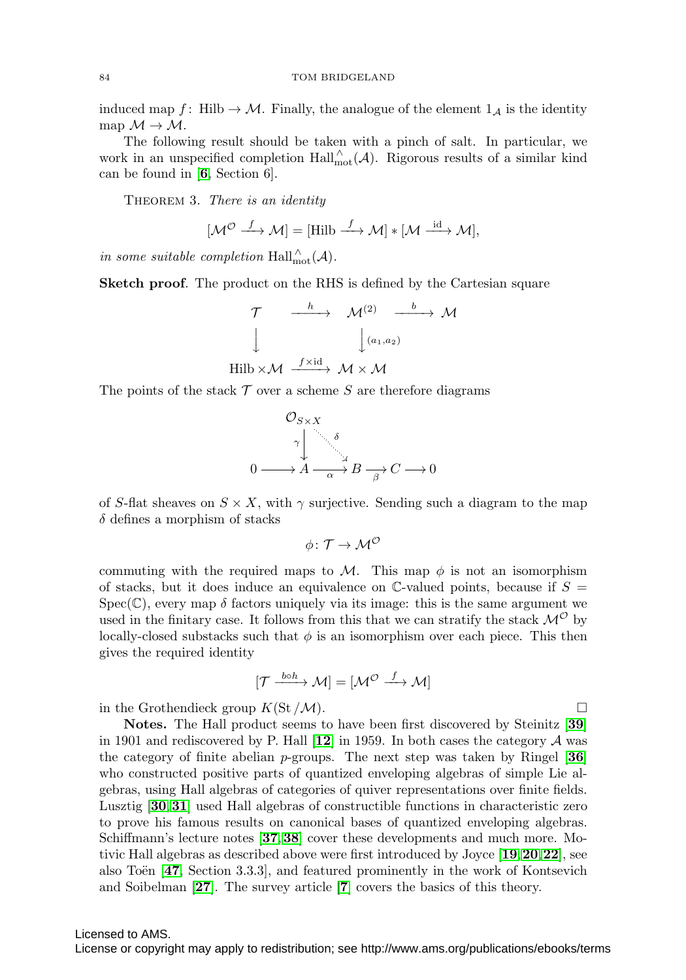induced map f: Hilb  $\rightarrow$  M. Finally, the analogue of the element  $1_A$  is the identity map  $\mathcal{M} \rightarrow \mathcal{M}$ .

The following result should be taken with a pinch of salt. In particular, we work in an unspecified completion  $\text{Hall}_{\text{mot}}^{\wedge}(\mathcal{A})$ . Rigorous results of a similar kind can be found in [**[6](#page-23-3)**, Section 6].

THEOREM 3. There is an identity

$$
[\mathcal{M}^{\mathcal{O}} \xrightarrow{f} \mathcal{M}] = [\text{Hilb} \xrightarrow{f} \mathcal{M}] * [\mathcal{M} \xrightarrow{\text{id}} \mathcal{M}],
$$

in some suitable completion  $\text{Hall}_{\text{mot}}^{\wedge}(\mathcal{A})$ .

**Sketch proof**. The product on the RHS is defined by the Cartesian square

$$
\begin{array}{ccc}\n\mathcal{T} & \xrightarrow{h} & \mathcal{M}^{(2)} & \xrightarrow{b} & \mathcal{M} \\
\downarrow & & \downarrow^{(a_1, a_2)} \\
\text{Hilb} \times \mathcal{M} & \xrightarrow{f \times \text{id}} & \mathcal{M} \times \mathcal{M}\n\end{array}
$$

The points of the stack  $\mathcal T$  over a scheme S are therefore diagrams



of S-flat sheaves on  $S \times X$ , with  $\gamma$  surjective. Sending such a diagram to the map  $\delta$  defines a morphism of stacks

$$
\phi\colon \mathcal{T}\to \mathcal{M}^{\mathcal{O}}
$$

commuting with the required maps to  $M$ . This map  $\phi$  is not an isomorphism of stacks, but it does induce an equivalence on  $\mathbb{C}\text{-value}$  points, because if  $S =$  $Spec(\mathbb{C})$ , every map  $\delta$  factors uniquely via its image: this is the same argument we used in the finitary case. It follows from this that we can stratify the stack  $\mathcal{M}^{\mathcal{O}}$  by locally-closed substacks such that  $\phi$  is an isomorphism over each piece. This then gives the required identity

$$
[\mathcal{T} \xrightarrow{\text{bo}h} \mathcal{M}] = [\mathcal{M}^{\mathcal{O}} \xrightarrow{f} \mathcal{M}]
$$

in the Grothendieck group  $K(\mathcal{S}t/\mathcal{M})$ .

**Notes.** The Hall product seems to have been first discovered by Steinitz [**[39](#page-25-10)**] in 1901 and rediscovered by P. Hall  $[12]$  $[12]$  $[12]$  in 1959. In both cases the category  $\mathcal A$  was the category of finite abelian p-groups. The next step was taken by Ringel [**[36](#page-25-11)**] who constructed positive parts of quantized enveloping algebras of simple Lie algebras, using Hall algebras of categories of quiver representations over finite fields. Lusztig [**[30](#page-24-14)**,**[31](#page-24-15)**] used Hall algebras of constructible functions in characteristic zero to prove his famous results on canonical bases of quantized enveloping algebras. Schiffmann's lecture notes [**[37](#page-25-12)**,**[38](#page-25-9)**] cover these developments and much more. Motivic Hall algebras as described above were first introduced by Joyce [**[19](#page-24-16)**,**[20](#page-24-17)**,**[22](#page-24-5)**], see also Toën [[47](#page-25-13), Section 3.3.3], and featured prominently in the work of Kontsevich and Soibelman [**[27](#page-24-6)**]. The survey article [**[7](#page-23-7)**] covers the basics of this theory.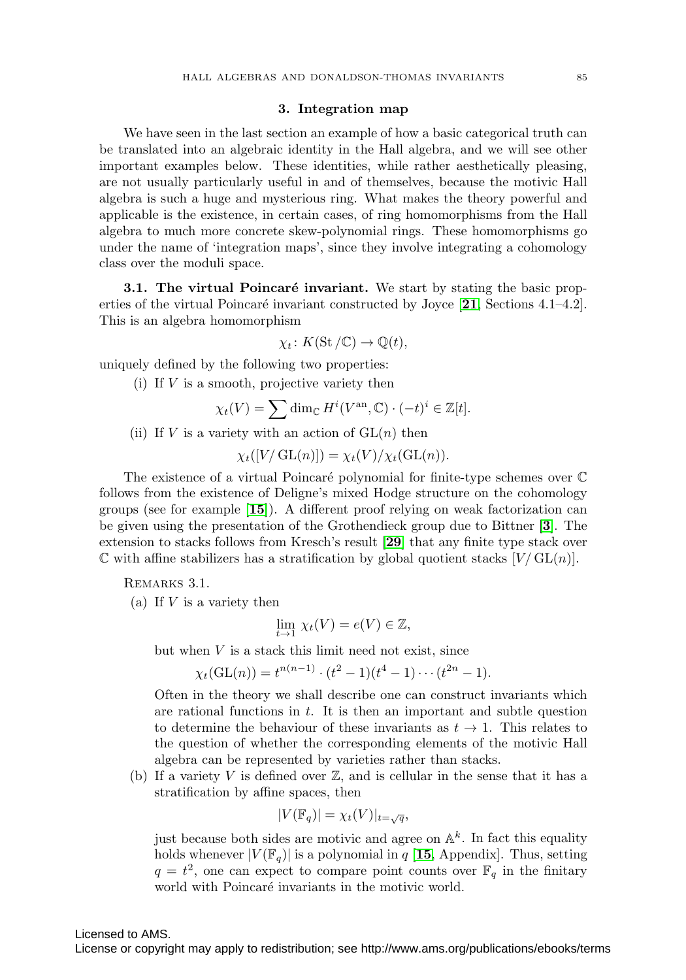## **3. Integration map**

We have seen in the last section an example of how a basic categorical truth can be translated into an algebraic identity in the Hall algebra, and we will see other important examples below. These identities, while rather aesthetically pleasing, are not usually particularly useful in and of themselves, because the motivic Hall algebra is such a huge and mysterious ring. What makes the theory powerful and applicable is the existence, in certain cases, of ring homomorphisms from the Hall algebra to much more concrete skew-polynomial rings. These homomorphisms go under the name of 'integration maps', since they involve integrating a cohomology class over the moduli space.

**3.1. The virtual Poincaré invariant.** We start by stating the basic properties of the virtual Poincaré invariant constructed by Joyce  $[21,$  $[21,$  $[21,$  Sections  $4.1-4.2$ . This is an algebra homomorphism

$$
\chi_t\colon K(\mathrm{St}/\mathbb{C})\to \mathbb{Q}(t),
$$

uniquely defined by the following two properties:

(i) If  $V$  is a smooth, projective variety then

$$
\chi_t(V) = \sum \dim_{\mathbb{C}} H^i(V^{\mathrm{an}}, \mathbb{C}) \cdot (-t)^i \in \mathbb{Z}[t].
$$

(ii) If V is a variety with an action of  $GL(n)$  then

$$
\chi_t([V/\mathop{\rm GL}(n)]) = \chi_t(V)/\chi_t(\mathop{\rm GL}(n)).
$$

The existence of a virtual Poincaré polynomial for finite-type schemes over  $\mathbb C$ follows from the existence of Deligne's mixed Hodge structure on the cohomology groups (see for example [**[15](#page-24-19)**]). A different proof relying on weak factorization can be given using the presentation of the Grothendieck group due to Bittner [**[3](#page-23-8)**]. The extension to stacks follows from Kresch's result [**[29](#page-24-20)**] that any finite type stack over  $\mathbb C$  with affine stabilizers has a stratification by global quotient stacks  $[V/\operatorname{GL}(n)]$ .

<span id="page-10-0"></span>Remarks 3.1.

(a) If  $V$  is a variety then

$$
\lim_{t \to 1} \chi_t(V) = e(V) \in \mathbb{Z},
$$

but when  $V$  is a stack this limit need not exist, since

$$
\chi_t(\mathrm{GL}(n)) = t^{n(n-1)} \cdot (t^2 - 1)(t^4 - 1) \cdots (t^{2n} - 1).
$$

Often in the theory we shall describe one can construct invariants which are rational functions in  $t$ . It is then an important and subtle question to determine the behaviour of these invariants as  $t \to 1$ . This relates to the question of whether the corresponding elements of the motivic Hall algebra can be represented by varieties rather than stacks.

(b) If a variety V is defined over  $\mathbb{Z}$ , and is cellular in the sense that it has a stratification by affine spaces, then

$$
|V(\mathbb{F}_q)| = \chi_t(V)|_{t=\sqrt{q}},
$$

just because both sides are motivic and agree on  $\mathbb{A}^k$ . In fact this equality holds whenever  $|V(\mathbb{F}_q)|$  is a polynomial in q [[15](#page-24-19), Appendix]. Thus, setting  $q = t^2$ , one can expect to compare point counts over  $\mathbb{F}_q$  in the finitary world with Poincaré invariants in the motivic world.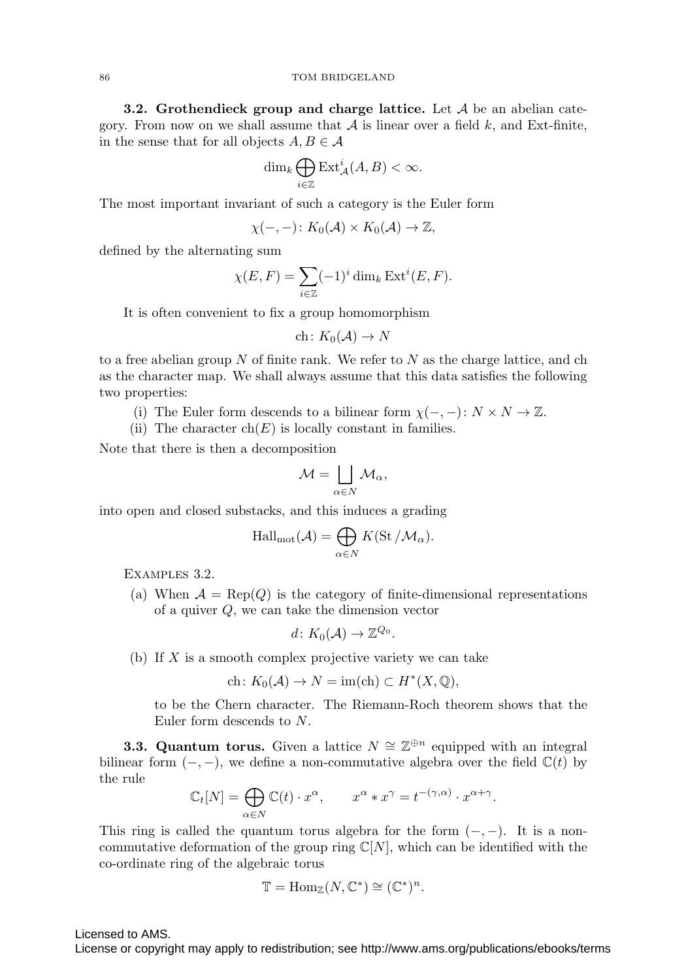**3.2. Grothendieck group and charge lattice.** Let A be an abelian category. From now on we shall assume that  $A$  is linear over a field k, and Ext-finite, in the sense that for all objects  $A, B \in \mathcal{A}$ 

$$
\dim_k \bigoplus_{i \in \mathbb{Z}} \operatorname{Ext}^i_{\mathcal{A}}(A,B) < \infty.
$$

The most important invariant of such a category is the Euler form

$$
\chi(-,-): K_0(\mathcal{A}) \times K_0(\mathcal{A}) \to \mathbb{Z},
$$

defined by the alternating sum

$$
\chi(E, F) = \sum_{i \in \mathbb{Z}} (-1)^i \dim_k \operatorname{Ext}^i(E, F).
$$

It is often convenient to fix a group homomorphism

$$
ch\colon K_0(\mathcal{A})\to N
$$

to a free abelian group  $N$  of finite rank. We refer to  $N$  as the charge lattice, and ch as the character map. We shall always assume that this data satisfies the following two properties:

- (i) The Euler form descends to a bilinear form  $\chi(-,-): N \times N \to \mathbb{Z}$ .
- (ii) The character  $ch(E)$  is locally constant in families.

Note that there is then a decomposition

$$
\mathcal{M} = \bigsqcup_{\alpha \in N} \mathcal{M}_{\alpha},
$$

into open and closed substacks, and this induces a grading

$$
\mathrm{Hall}_{\mathrm{mot}}(\mathcal{A}) = \bigoplus_{\alpha \in N} K(\mathrm{St}/\mathcal{M}_{\alpha}).
$$

Examples 3.2.

(a) When  $\mathcal{A} = \text{Rep}(Q)$  is the category of finite-dimensional representations of a quiver Q, we can take the dimension vector

$$
d\colon K_0(\mathcal{A})\to \mathbb{Z}^{Q_0}.
$$

(b) If  $X$  is a smooth complex projective variety we can take

$$
ch: K_0(\mathcal{A}) \to N = \text{im(ch)} \subset H^*(X, \mathbb{Q}),
$$

to be the Chern character. The Riemann-Roch theorem shows that the Euler form descends to N.

**3.3. Quantum torus.** Given a lattice  $N \cong \mathbb{Z}^{\oplus n}$  equipped with an integral bilinear form  $(-,-)$ , we define a non-commutative algebra over the field  $\mathbb{C}(t)$  by the rule

$$
\mathbb{C}_t[N] = \bigoplus_{\alpha \in N} \mathbb{C}(t) \cdot x^{\alpha}, \qquad x^{\alpha} * x^{\gamma} = t^{-(\gamma,\alpha)} \cdot x^{\alpha+\gamma}.
$$

This ring is called the quantum torus algebra for the form  $(-, -)$ . It is a noncommutative deformation of the group ring  $\mathbb{C}[N]$ , which can be identified with the co-ordinate ring of the algebraic torus

$$
\mathbb{T} = \text{Hom}_{\mathbb{Z}}(N, \mathbb{C}^*) \cong (\mathbb{C}^*)^n.
$$

Licensed to AMS.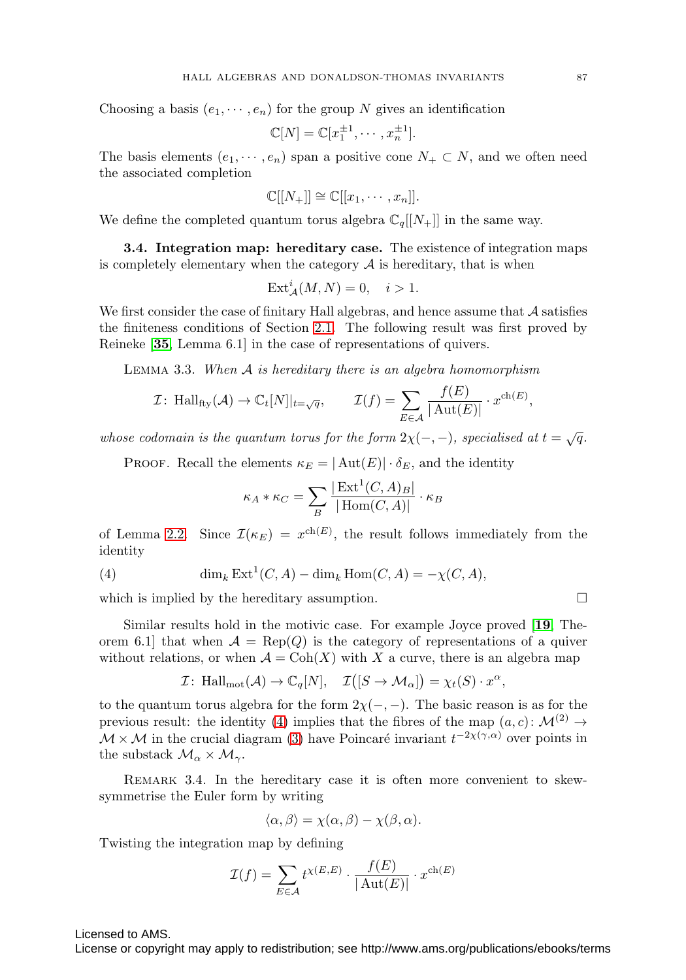Choosing a basis  $(e_1, \dots, e_n)$  for the group N gives an identification

$$
\mathbb{C}[N] = \mathbb{C}[x_1^{\pm 1}, \cdots, x_n^{\pm 1}].
$$

The basis elements  $(e_1, \dots, e_n)$  span a positive cone  $N_+ \subset N$ , and we often need the associated completion

$$
\mathbb{C}[[N_+]] \cong \mathbb{C}[[x_1, \cdots, x_n]].
$$

We define the completed quantum torus algebra  $\mathbb{C}_q[[N_+]]$  in the same way.

**3.4. Integration map: hereditary case.** The existence of integration maps is completely elementary when the category  $A$  is hereditary, that is when

$$
\text{Ext}^i_{\mathcal{A}}(M,N) = 0, \quad i > 1.
$$

We first consider the case of finitary Hall algebras, and hence assume that  $\mathcal A$  satisfies the finiteness conditions of Section [2.1.](#page-4-0) The following result was first proved by Reineke [**[35](#page-25-5)**, Lemma 6.1] in the case of representations of quivers.

<span id="page-12-1"></span>LEMMA 3.3. When  $A$  is hereditary there is an algebra homomorphism

$$
\mathcal{I}: \ \text{Hall}_{\text{fly}}(\mathcal{A}) \to \mathbb{C}_t[N]|_{t=\sqrt{q}}, \qquad \mathcal{I}(f) = \sum_{E \in \mathcal{A}} \frac{f(E)}{|\text{Aut}(E)|} \cdot x^{\text{ch}(E)},
$$

whose codomain is the quantum torus for the form  $2\chi(-,-)$ , specialised at  $t = \sqrt{q}$ .

PROOF. Recall the elements  $\kappa_E = |\text{Aut}(E)| \cdot \delta_E$ , and the identity

$$
\kappa_A * \kappa_C = \sum_B \frac{|\operatorname{Ext}^1(C, A)_B|}{|\operatorname{Hom}(C, A)|} \cdot \kappa_B
$$

of Lemma [2.2.](#page-4-1) Since  $\mathcal{I}(\kappa_E) = x^{\text{ch}(E)}$ , the result follows immediately from the identity

<span id="page-12-0"></span>(4) 
$$
\dim_k \operatorname{Ext}^1(C, A) - \dim_k \operatorname{Hom}(C, A) = -\chi(C, A),
$$

which is implied by the hereditary assumption.  $\Box$ 

Similar results hold in the motivic case. For example Joyce proved [**[19](#page-24-16)**, Theorem 6.1] that when  $A = \text{Rep}(Q)$  is the category of representations of a quiver without relations, or when  $\mathcal{A} = \text{Coh}(X)$  with X a curve, there is an algebra map

$$
\mathcal{I} \colon \operatorname{Hall}_{\operatorname{mot}}(\mathcal{A}) \to \mathbb{C}_q[N], \quad \mathcal{I}([S \to \mathcal{M}_\alpha]) = \chi_t(S) \cdot x^\alpha,
$$

to the quantum torus algebra for the form  $2\chi(-,-)$ . The basic reason is as for the previous result: the identity [\(4\)](#page-12-0) implies that the fibres of the map  $(a, c)$ :  $\mathcal{M}^{(2)} \rightarrow$  $\mathcal{M} \times \mathcal{M}$  in the crucial diagram [\(3\)](#page-8-0) have Poincaré invariant  $t^{-2\chi(\gamma,\alpha)}$  over points in the substack  $\mathcal{M}_{\alpha} \times \mathcal{M}_{\gamma}$ .

<span id="page-12-2"></span>REMARK 3.4. In the hereditary case it is often more convenient to skewsymmetrise the Euler form by writing

$$
\langle \alpha, \beta \rangle = \chi(\alpha, \beta) - \chi(\beta, \alpha).
$$

Twisting the integration map by defining

$$
\mathcal{I}(f) = \sum_{E \in \mathcal{A}} t^{\chi(E,E)} \cdot \frac{f(E)}{|\operatorname{Aut}(E)|} \cdot x^{\operatorname{ch}(E)}
$$

Licensed to AMS.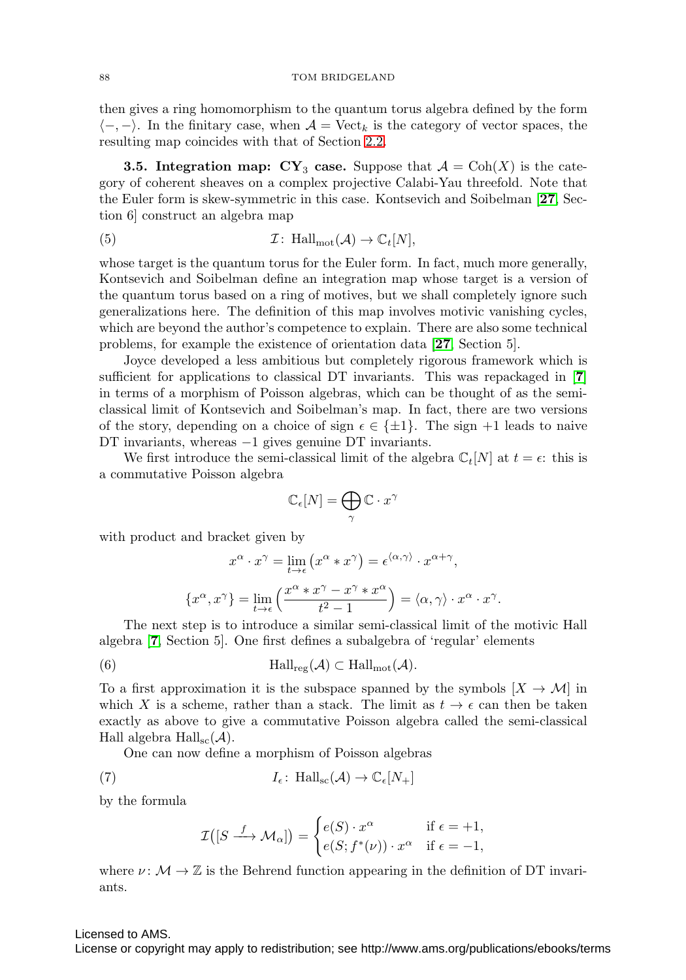then gives a ring homomorphism to the quantum torus algebra defined by the form  $\langle -, - \rangle$ . In the finitary case, when  $\mathcal{A} = \text{Vect}_k$  is the category of vector spaces, the resulting map coincides with that of Section [2.2.](#page-5-1)

**3.5. Integration map:**  $CY_3$  **case.** Suppose that  $A = \text{Coh}(X)$  is the category of coherent sheaves on a complex projective Calabi-Yau threefold. Note that the Euler form is skew-symmetric in this case. Kontsevich and Soibelman [**[27](#page-24-6)**, Section 6] construct an algebra map

<span id="page-13-1"></span>(5) 
$$
\mathcal{I}: \text{Hall}_{\text{mot}}(\mathcal{A}) \to \mathbb{C}_t[N],
$$

whose target is the quantum torus for the Euler form. In fact, much more generally, Kontsevich and Soibelman define an integration map whose target is a version of the quantum torus based on a ring of motives, but we shall completely ignore such generalizations here. The definition of this map involves motivic vanishing cycles, which are beyond the author's competence to explain. There are also some technical problems, for example the existence of orientation data [**[27](#page-24-6)**, Section 5].

Joyce developed a less ambitious but completely rigorous framework which is sufficient for applications to classical DT invariants. This was repackaged in [**[7](#page-23-7)**] in terms of a morphism of Poisson algebras, which can be thought of as the semiclassical limit of Kontsevich and Soibelman's map. In fact, there are two versions of the story, depending on a choice of sign  $\epsilon \in \{\pm 1\}$ . The sign  $+1$  leads to naive DT invariants, whereas −1 gives genuine DT invariants.

We first introduce the semi-classical limit of the algebra  $\mathbb{C}_t[N]$  at  $t = \epsilon$ : this is a commutative Poisson algebra

$$
\mathbb{C}_{\epsilon}[N] = \bigoplus_{\gamma} \mathbb{C} \cdot x^{\gamma}
$$

with product and bracket given by

$$
x^{\alpha} \cdot x^{\gamma} = \lim_{t \to \epsilon} (x^{\alpha} * x^{\gamma}) = \epsilon^{\langle \alpha, \gamma \rangle} \cdot x^{\alpha + \gamma},
$$

$$
\{x^{\alpha}, x^{\gamma}\} = \lim_{t \to \epsilon} \left(\frac{x^{\alpha} * x^{\gamma} - x^{\gamma} * x^{\alpha}}{t^2 - 1}\right) = \langle \alpha, \gamma \rangle \cdot x^{\alpha} \cdot x^{\gamma}.
$$

The next step is to introduce a similar semi-classical limit of the motivic Hall algebra [**[7](#page-23-7)**, Section 5]. One first defines a subalgebra of 'regular' elements

(6) 
$$
\text{Hall}_{\text{reg}}(\mathcal{A}) \subset \text{Hall}_{\text{mot}}(\mathcal{A}).
$$

To a first approximation it is the subspace spanned by the symbols  $|X \to M|$  in which X is a scheme, rather than a stack. The limit as  $t \to \epsilon$  can then be taken exactly as above to give a commutative Poisson algebra called the semi-classical Hall algebra  $\text{Hall}_{\text{sc}}(\mathcal{A})$ .

One can now define a morphism of Poisson algebras

<span id="page-13-0"></span>(7) 
$$
I_{\epsilon}: \text{ Hall}_{\text{sc}}(\mathcal{A}) \to \mathbb{C}_{\epsilon}[N_{+}]
$$

by the formula

$$
\mathcal{I}([S \xrightarrow{f} \mathcal{M}_{\alpha}]) = \begin{cases} e(S) \cdot x^{\alpha} & \text{if } \epsilon = +1, \\ e(S; f^{*}(\nu)) \cdot x^{\alpha} & \text{if } \epsilon = -1, \end{cases}
$$

where  $\nu \colon \mathcal{M} \to \mathbb{Z}$  is the Behrend function appearing in the definition of DT invariants.

### Licensed to AMS.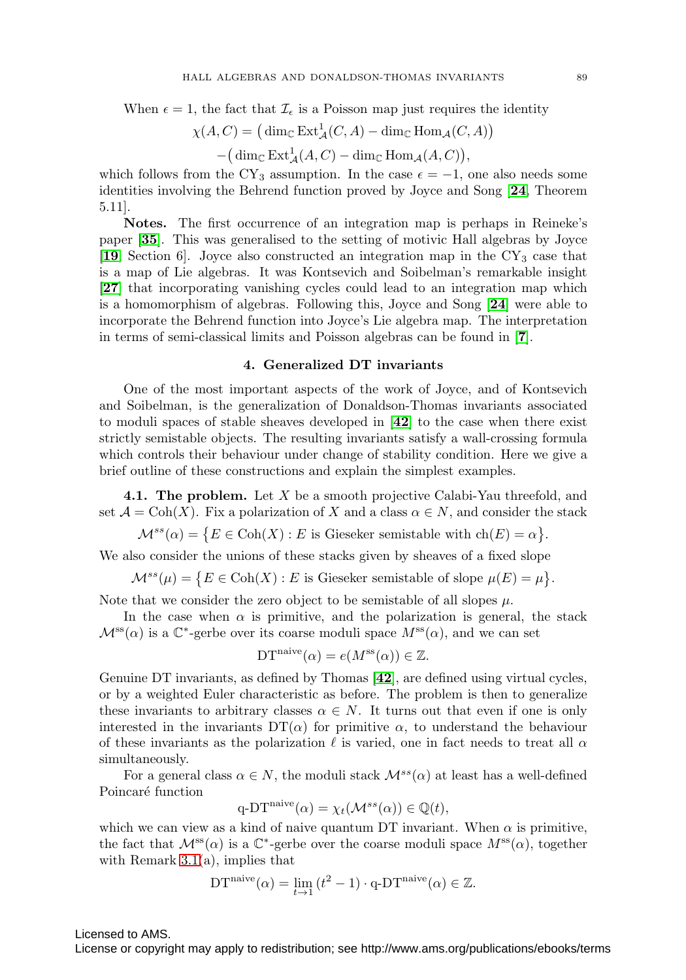When  $\epsilon = 1$ , the fact that  $\mathcal{I}_{\epsilon}$  is a Poisson map just requires the identity

$$
\chi(A, C) = (\dim_{\mathbb{C}} \operatorname{Ext}_{\mathcal{A}}^1(C, A) - \dim_{\mathbb{C}} \operatorname{Hom}_{\mathcal{A}}(C, A)) - (\dim_{\mathbb{C}} \operatorname{Ext}_{\mathcal{A}}^1(A, C) - \dim_{\mathbb{C}} \operatorname{Hom}_{\mathcal{A}}(A, C)),
$$

which follows from the CY<sub>3</sub> assumption. In the case  $\epsilon = -1$ , one also needs some identities involving the Behrend function proved by Joyce and Song [**[24](#page-24-7)**, Theorem 5.11].

**Notes.** The first occurrence of an integration map is perhaps in Reineke's paper [**[35](#page-25-5)**]. This was generalised to the setting of motivic Hall algebras by Joyce [**[19](#page-24-16)**, Section 6]. Joyce also constructed an integration map in the CY<sup>3</sup> case that is a map of Lie algebras. It was Kontsevich and Soibelman's remarkable insight [**[27](#page-24-6)**] that incorporating vanishing cycles could lead to an integration map which is a homomorphism of algebras. Following this, Joyce and Song [**[24](#page-24-7)**] were able to incorporate the Behrend function into Joyce's Lie algebra map. The interpretation in terms of semi-classical limits and Poisson algebras can be found in [**[7](#page-23-7)**].

## **4. Generalized DT invariants**

One of the most important aspects of the work of Joyce, and of Kontsevich and Soibelman, is the generalization of Donaldson-Thomas invariants associated to moduli spaces of stable sheaves developed in [**[42](#page-25-0)**] to the case when there exist strictly semistable objects. The resulting invariants satisfy a wall-crossing formula which controls their behaviour under change of stability condition. Here we give a brief outline of these constructions and explain the simplest examples.

**4.1. The problem.** Let X be a smooth projective Calabi-Yau threefold, and set  $\mathcal{A} = \text{Coh}(X)$ . Fix a polarization of X and a class  $\alpha \in N$ , and consider the stack

 $\mathcal{M}^{ss}(\alpha) = \{ E \in \text{Coh}(X) : E \text{ is Gieseker semistable with } ch(E) = \alpha \}.$ 

We also consider the unions of these stacks given by sheaves of a fixed slope

 $\mathcal{M}^{ss}(\mu) = \{ E \in \text{Coh}(X) : E \text{ is Gieseker semistable of slope } \mu(E) = \mu \}.$ 

Note that we consider the zero object to be semistable of all slopes  $\mu$ .

In the case when  $\alpha$  is primitive, and the polarization is general, the stack  $\mathcal{M}^{\rm ss}(\alpha)$  is a  $\mathbb{C}^*$ -gerbe over its coarse moduli space  $M^{\rm ss}(\alpha)$ , and we can set

$$
\mathrm{DT}^{\mathrm{naive}}(\alpha) = e(M^{\mathrm{ss}}(\alpha)) \in \mathbb{Z}.
$$

Genuine DT invariants, as defined by Thomas [**[42](#page-25-0)**], are defined using virtual cycles, or by a weighted Euler characteristic as before. The problem is then to generalize these invariants to arbitrary classes  $\alpha \in N$ . It turns out that even if one is only interested in the invariants  $DT(\alpha)$  for primitive  $\alpha$ , to understand the behaviour of these invariants as the polarization  $\ell$  is varied, one in fact needs to treat all  $\alpha$ simultaneously.

For a general class  $\alpha \in N$ , the moduli stack  $\mathcal{M}^{ss}(\alpha)$  at least has a well-defined Poincaré function

$$
q\text{-DT}^{\text{naive}}(\alpha) = \chi_t(\mathcal{M}^{ss}(\alpha)) \in \mathbb{Q}(t),
$$

which we can view as a kind of naive quantum DT invariant. When  $\alpha$  is primitive, the fact that  $\mathcal{M}^{\text{ss}}(\alpha)$  is a C<sup>\*</sup>-gerbe over the coarse moduli space  $M^{\text{ss}}(\alpha)$ , together with Remark  $3.1(a)$ , implies that

DT<sup>naive</sup>
$$
(\alpha) = \lim_{t \to 1} (t^2 - 1) \cdot \mathbf{q} \cdot DT^{\text{naive}}(\alpha) \in \mathbb{Z}.
$$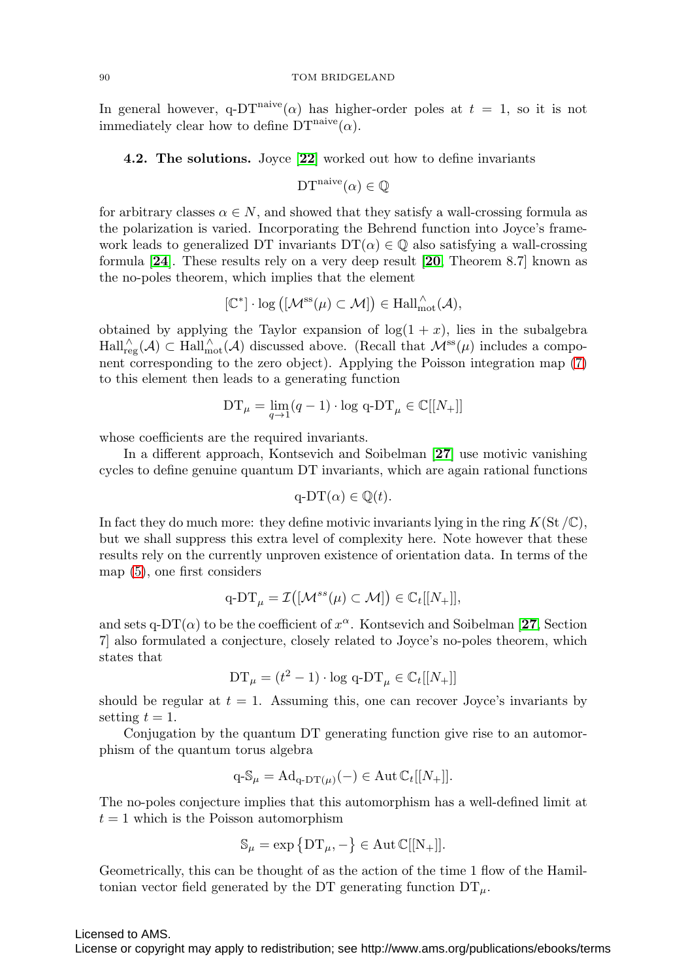#### 90 TOM BRIDGELAND

In general however, q-DT<sup>naive</sup>( $\alpha$ ) has higher-order poles at  $t = 1$ , so it is not immediately clear how to define  $DT<sup>naive</sup>(\alpha)$ .

**4.2. The solutions.** Joyce [**[22](#page-24-5)**] worked out how to define invariants

$$
DTnaive(\alpha) \in \mathbb{Q}
$$

for arbitrary classes  $\alpha \in N$ , and showed that they satisfy a wall-crossing formula as the polarization is varied. Incorporating the Behrend function into Joyce's framework leads to generalized DT invariants  $DT(\alpha) \in \mathbb{Q}$  also satisfying a wall-crossing formula [**[24](#page-24-7)**]. These results rely on a very deep result [**[20](#page-24-17)**, Theorem 8.7] known as the no-poles theorem, which implies that the element

$$
[\mathbb{C}^*] \cdot \log ([\mathcal{M}^{\text{ss}}(\mu) \subset \mathcal{M}]) \in \text{Hall}_{\text{mot}}^{\wedge}(\mathcal{A}),
$$

obtained by applying the Taylor expansion of  $log(1 + x)$ , lies in the subalgebra  $\text{Hall}_{reg}^{\wedge}(\mathcal{A})\subset \text{Hall}_{mot}^{\wedge}(\mathcal{A})$  discussed above. (Recall that  $\mathcal{M}^{ss}(\mu)$  includes a component corresponding to the zero object). Applying the Poisson integration map [\(7\)](#page-13-0) to this element then leads to a generating function

$$
\mathop{\rm DT}\nolimits_\mu=\lim_{q\to 1}(q-1)\cdot\log\, \mathop{\rm q}\nolimits\text{-}\mathop{\rm DT}\nolimits_\mu\in\mathbb{C}[[N_+]]
$$

whose coefficients are the required invariants.

In a different approach, Kontsevich and Soibelman [**[27](#page-24-6)**] use motivic vanishing cycles to define genuine quantum DT invariants, which are again rational functions

$$
q-DT(\alpha) \in \mathbb{Q}(t).
$$

In fact they do much more: they define motivic invariants lying in the ring  $K(\mathcal{S}t/\mathbb{C})$ , but we shall suppress this extra level of complexity here. Note however that these results rely on the currently unproven existence of orientation data. In terms of the map [\(5\)](#page-13-1), one first considers

$$
\mathrm{q}\text{-}\mathrm{DT}_{\mu}=\mathcal{I}\big([\mathcal{M}^{ss}(\mu)\subset \mathcal{M}]\big) \in \mathbb{C}_{t}[[N_{+}]],
$$

and sets q-DT( $\alpha$ ) to be the coefficient of  $x^{\alpha}$ . Kontsevich and Soibelman [[27](#page-24-6), Section 7] also formulated a conjecture, closely related to Joyce's no-poles theorem, which states that

$$
DT_{\mu} = (t^2 - 1) \cdot \log q - DT_{\mu} \in \mathbb{C}_t[[N_+]]
$$

should be regular at  $t = 1$ . Assuming this, one can recover Joyce's invariants by setting  $t = 1$ .

Conjugation by the quantum DT generating function give rise to an automorphism of the quantum torus algebra

$$
q - S_{\mu} = \mathrm{Ad}_{q - DT(\mu)}(-) \in \mathrm{Aut} \, \mathbb{C}_t[[N_+]].
$$

The no-poles conjecture implies that this automorphism has a well-defined limit at  $t = 1$  which is the Poisson automorphism

$$
\mathbb{S}_{\mu} = \exp \{DT_{\mu}, -\} \in \operatorname{Aut} \mathbb{C}[[N_{+}]].
$$

Geometrically, this can be thought of as the action of the time 1 flow of the Hamiltonian vector field generated by the DT generating function  $DT_{\mu}$ .

### Licensed to AMS.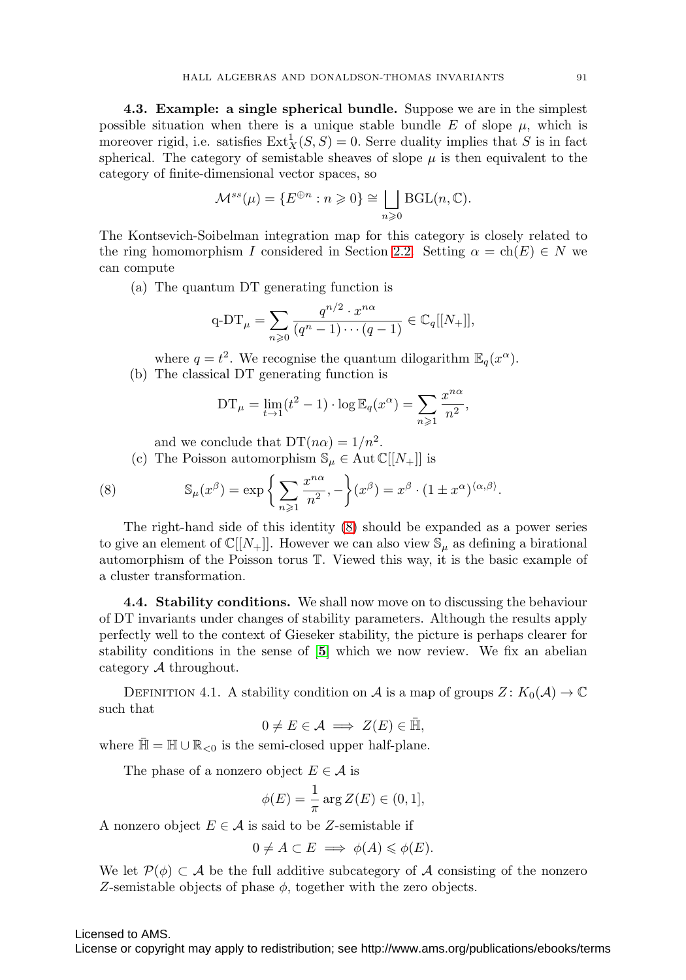**4.3. Example: a single spherical bundle.** Suppose we are in the simplest possible situation when there is a unique stable bundle E of slope  $\mu$ , which is moreover rigid, i.e. satisfies  $\text{Ext}^1_X(S, S) = 0$ . Serre duality implies that S is in fact spherical. The category of semistable sheaves of slope  $\mu$  is then equivalent to the category of finite-dimensional vector spaces, so

$$
\mathcal{M}^{ss}(\mu) = \{ E^{\oplus n} : n \geqslant 0 \} \cong \bigsqcup_{n \geqslant 0} \text{BGL}(n, \mathbb{C}).
$$

The Kontsevich-Soibelman integration map for this category is closely related to the ring homomorphism I considered in Section [2.2.](#page-5-1) Setting  $\alpha = ch(E) \in N$  we can compute

(a) The quantum DT generating function is

$$
\mathrm{q}\text{-DT}_{\mu} = \sum_{n\geqslant 0} \frac{q^{n/2} \cdot x^{n\alpha}}{(q^n - 1) \cdots (q-1)} \in \mathbb{C}_q[[N_+]],
$$

 $n\!\geqslant\!1$ 

 $x^{n\alpha}$  $\frac{5}{n^2}$ ,

where  $q = t^2$ . We recognise the quantum dilogarithm  $\mathbb{E}_q(x^{\alpha})$ . (b) The classical DT generating function is

 $DT_{\mu} = \lim_{t \to 1} (t^2 - 1) \cdot \log \mathbb{E}_q(x^{\alpha}) = \sum_{n \geq 1}$ 

and we conclude that  $DT(n\alpha)=1/n^2$ .

(c) The Poisson automorphism  $\mathbb{S}_{\mu} \in \text{Aut} \mathbb{C}[[N_{+}]]$  is

<span id="page-16-1"></span>(8) 
$$
\mathbb{S}_{\mu}(x^{\beta}) = \exp\left\{\sum_{n\geqslant 1}\frac{x^{n\alpha}}{n^2}, -\right\}(x^{\beta}) = x^{\beta} \cdot (1 \pm x^{\alpha})^{\langle \alpha, \beta \rangle}.
$$

The right-hand side of this identity [\(8\)](#page-16-1) should be expanded as a power series to give an element of  $\mathbb{C}[[N_+]]$ . However we can also view  $\mathbb{S}_{\mu}$  as defining a birational automorphism of the Poisson torus T. Viewed this way, it is the basic example of a cluster transformation.

<span id="page-16-0"></span>**4.4. Stability conditions.** We shall now move on to discussing the behaviour of DT invariants under changes of stability parameters. Although the results apply perfectly well to the context of Gieseker stability, the picture is perhaps clearer for stability conditions in the sense of [**[5](#page-23-9)**] which we now review. We fix an abelian category A throughout.

DEFINITION 4.1. A stability condition on A is a map of groups  $Z: K_0(\mathcal{A}) \to \mathbb{C}$ such that

$$
0 \neq E \in \mathcal{A} \implies Z(E) \in \bar{\mathbb{H}},
$$

where  $\mathbb{\bar{H}} = \mathbb{H} \cup \mathbb{R}_{\leq 0}$  is the semi-closed upper half-plane.

The phase of a nonzero object  $E \in \mathcal{A}$  is

$$
\phi(E) = \frac{1}{\pi} \arg Z(E) \in (0, 1],
$$

A nonzero object  $E \in \mathcal{A}$  is said to be Z-semistable if

$$
0 \neq A \subset E \implies \phi(A) \leq \phi(E).
$$

We let  $\mathcal{P}(\phi) \subset \mathcal{A}$  be the full additive subcategory of  $\mathcal{A}$  consisting of the nonzero Z-semistable objects of phase  $\phi$ , together with the zero objects.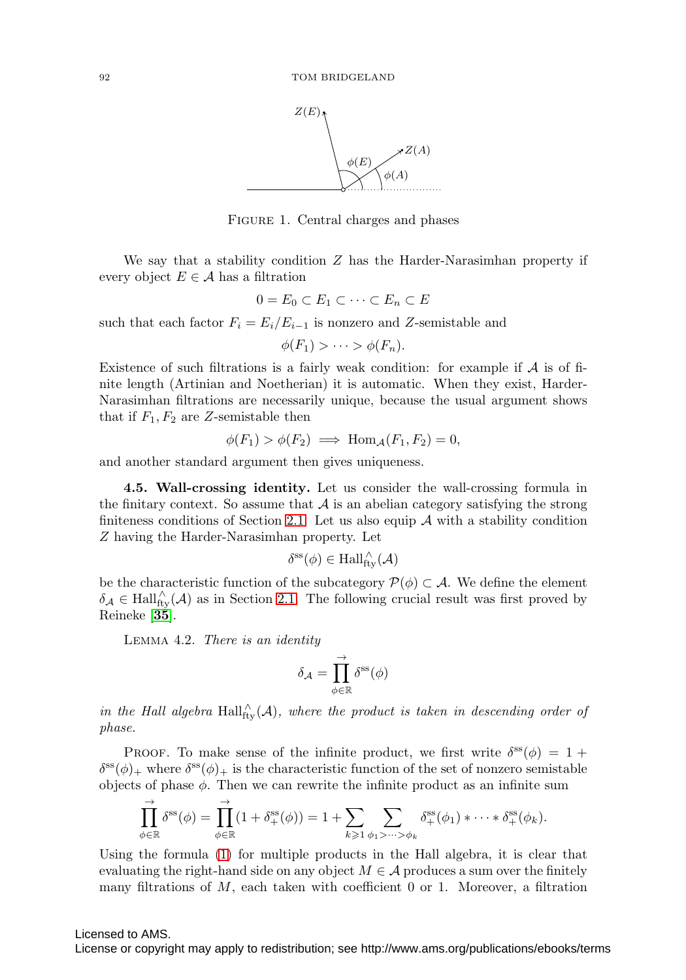

FIGURE 1. Central charges and phases

We say that a stability condition  $Z$  has the Harder-Narasimhan property if every object  $E \in \mathcal{A}$  has a filtration

$$
0 = E_0 \subset E_1 \subset \cdots \subset E_n \subset E
$$

such that each factor  $F_i = E_i/E_{i-1}$  is nonzero and Z-semistable and

$$
\phi(F_1) > \cdots > \phi(F_n).
$$

Existence of such filtrations is a fairly weak condition: for example if  $A$  is of finite length (Artinian and Noetherian) it is automatic. When they exist, Harder-Narasimhan filtrations are necessarily unique, because the usual argument shows that if  $F_1, F_2$  are Z-semistable then

$$
\phi(F_1) > \phi(F_2) \implies \text{Hom}_{\mathcal{A}}(F_1, F_2) = 0,
$$

<span id="page-17-0"></span>and another standard argument then gives uniqueness.

**4.5. Wall-crossing identity.** Let us consider the wall-crossing formula in the finitary context. So assume that  $A$  is an abelian category satisfying the strong finiteness conditions of Section [2.1.](#page-4-0) Let us also equip  $A$  with a stability condition Z having the Harder-Narasimhan property. Let

$$
\delta^{\rm ss}(\phi)\in\operatorname{Hall}^{\wedge}_{\operatorname{fty}}(\mathcal{A})
$$

be the characteristic function of the subcategory  $\mathcal{P}(\phi) \subset \mathcal{A}$ . We define the element  $\delta_{\mathcal{A}} \in \text{Hall}_{\text{fly}}^{\wedge}(\mathcal{A})$  as in Section [2.1.](#page-4-0) The following crucial result was first proved by Reineke [**[35](#page-25-5)**].

<span id="page-17-1"></span>Lemma 4.2. There is an identity

$$
\delta_{\mathcal{A}} = \prod_{\phi \in \mathbb{R}}^{\rightarrow} \delta^{\text{ss}}(\phi)
$$

in the Hall algebra  $\text{Hall}_{\text{fty}}^{\wedge}(\mathcal{A})$ , where the product is taken in descending order of phase.

PROOF. To make sense of the infinite product, we first write  $\delta^{\rm ss}(\phi) = 1 +$  $\delta^{\rm ss}(\phi)_+$  where  $\delta^{\rm ss}(\phi)_+$  is the characteristic function of the set of nonzero semistable objects of phase  $\phi$ . Then we can rewrite the infinite product as an infinite sum

$$
\prod_{\phi\in\mathbb{R}}^{\rightarrow} \delta^{\rm ss}(\phi) = \prod_{\phi\in\mathbb{R}}^{\rightarrow} (1+\delta^{\rm ss}_+(\phi)) = 1 + \sum_{k\geqslant 1} \sum_{\phi_1 > \dots > \phi_k} \delta^{\rm ss}_+(\phi_1) * \dots * \delta^{\rm ss}_+(\phi_k).
$$

Using the formula [\(1\)](#page-4-2) for multiple products in the Hall algebra, it is clear that evaluating the right-hand side on any object  $M \in \mathcal{A}$  produces a sum over the finitely many filtrations of  $M$ , each taken with coefficient 0 or 1. Moreover, a filtration

### Licensed to AMS.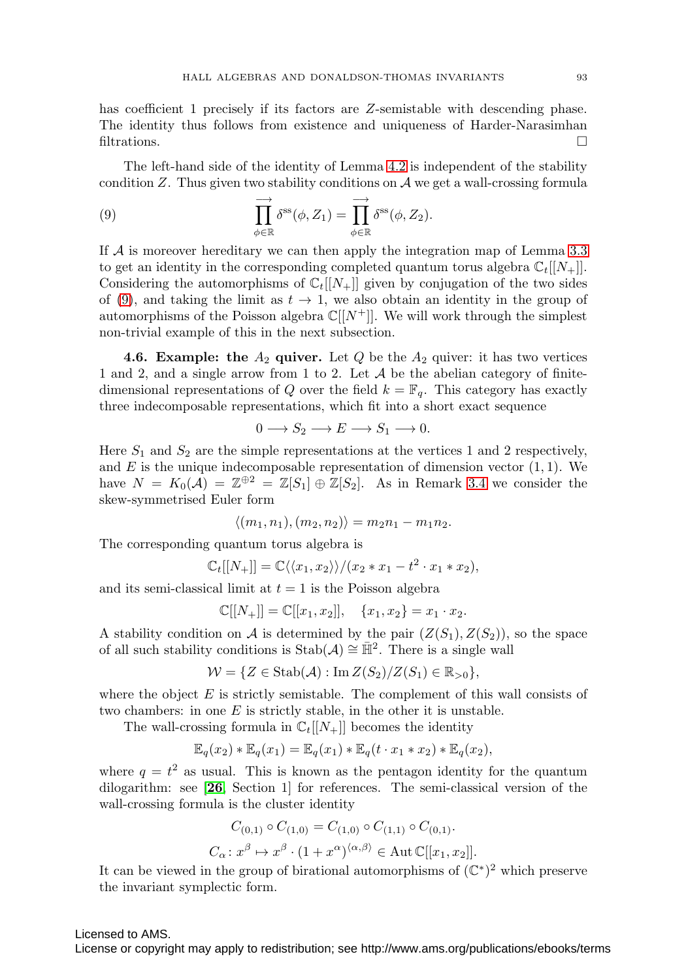has coefficient 1 precisely if its factors are Z-semistable with descending phase. The identity thus follows from existence and uniqueness of Harder-Narasimhan filtrations.  $\Box$ 

The left-hand side of the identity of Lemma [4.2](#page-17-1) is independent of the stability condition  $Z$ . Thus given two stability conditions on  $A$  we get a wall-crossing formula

<span id="page-18-0"></span>(9) 
$$
\prod_{\phi \in \mathbb{R}} \delta^{ss}(\phi, Z_1) = \prod_{\phi \in \mathbb{R}} \delta^{ss}(\phi, Z_2).
$$

If  $A$  is moreover hereditary we can then apply the integration map of Lemma [3.3](#page-12-1) to get an identity in the corresponding completed quantum torus algebra  $\mathbb{C}_t[[N_+]]$ . Considering the automorphisms of  $\mathbb{C}_t[[N_+]]$  given by conjugation of the two sides of [\(9\)](#page-18-0), and taking the limit as  $t \to 1$ , we also obtain an identity in the group of automorphisms of the Poisson algebra  $\mathbb{C}[[N^+]]$ . We will work through the simplest non-trivial example of this in the next subsection.

**4.6. Example: the**  $A_2$  **quiver.** Let  $Q$  be the  $A_2$  quiver: it has two vertices 1 and 2, and a single arrow from 1 to 2. Let  $A$  be the abelian category of finitedimensional representations of Q over the field  $k = \mathbb{F}_q$ . This category has exactly three indecomposable representations, which fit into a short exact sequence

$$
0 \longrightarrow S_2 \longrightarrow E \longrightarrow S_1 \longrightarrow 0.
$$

Here  $S_1$  and  $S_2$  are the simple representations at the vertices 1 and 2 respectively, and  $E$  is the unique indecomposable representation of dimension vector  $(1, 1)$ . We have  $N = K_0(\mathcal{A}) = \mathbb{Z}^{\oplus 2} = \mathbb{Z}[S_1] \oplus \mathbb{Z}[S_2]$ . As in Remark [3.4](#page-12-2) we consider the skew-symmetrised Euler form

$$
\langle (m_1, n_1), (m_2, n_2) \rangle = m_2 n_1 - m_1 n_2.
$$

The corresponding quantum torus algebra is

$$
\mathbb{C}_t[[N_+]] = \mathbb{C}\langle\langle x_1, x_2\rangle\rangle / (x_2 * x_1 - t^2 \cdot x_1 * x_2),
$$

and its semi-classical limit at  $t = 1$  is the Poisson algebra

$$
\mathbb{C}[[N_+]] = \mathbb{C}[[x_1, x_2]], \quad \{x_1, x_2\} = x_1 \cdot x_2.
$$

A stability condition on A is determined by the pair  $(Z(S_1), Z(S_2))$ , so the space of all such stability conditions is Stab( $\mathcal{A}$ ) ≅  $\mathbb{H}^2$ . There is a single wall

$$
\mathcal{W} = \{ Z \in \operatorname{Stab}(\mathcal{A}) : \operatorname{Im} Z(S_2) / Z(S_1) \in \mathbb{R}_{>0} \},
$$

where the object  $E$  is strictly semistable. The complement of this wall consists of two chambers: in one  $E$  is strictly stable, in the other it is unstable.

The wall-crossing formula in  $\mathbb{C}_t[[N_+]]$  becomes the identity

$$
\mathbb{E}_q(x_2) * \mathbb{E}_q(x_1) = \mathbb{E}_q(x_1) * \mathbb{E}_q(t \cdot x_1 * x_2) * \mathbb{E}_q(x_2),
$$

where  $q = t^2$  as usual. This is known as the pentagon identity for the quantum dilogarithm: see [**[26](#page-24-12)**, Section 1] for references. The semi-classical version of the wall-crossing formula is the cluster identity

$$
C_{(0,1)} \circ C_{(1,0)} = C_{(1,0)} \circ C_{(1,1)} \circ C_{(0,1)}.
$$
  

$$
C_{\alpha} : x^{\beta} \mapsto x^{\beta} \cdot (1 + x^{\alpha})^{\langle \alpha, \beta \rangle} \in \text{Aut } \mathbb{C}[[x_1, x_2]].
$$

It can be viewed in the group of birational automorphisms of  $(\mathbb{C}^*)^2$  which preserve the invariant symplectic form.

### Licensed to AMS.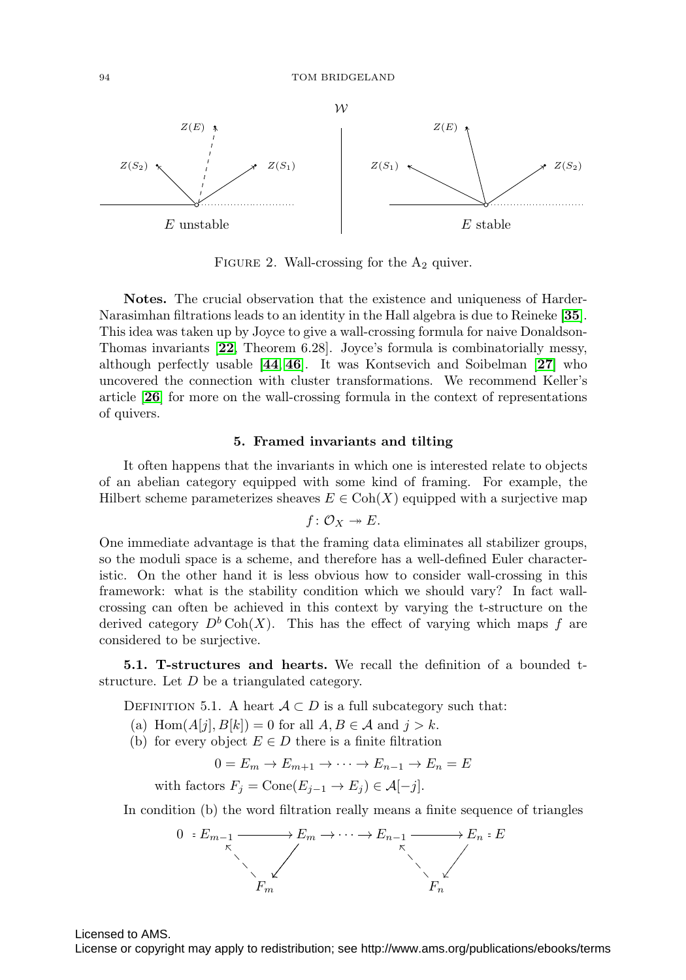

FIGURE 2. Wall-crossing for the  $A_2$  quiver.

**Notes.** The crucial observation that the existence and uniqueness of Harder-Narasimhan filtrations leads to an identity in the Hall algebra is due to Reineke [**[35](#page-25-5)**]. This idea was taken up by Joyce to give a wall-crossing formula for naive Donaldson-Thomas invariants [**[22](#page-24-5)**, Theorem 6.28]. Joyce's formula is combinatorially messy, although perfectly usable [**[44](#page-25-3)**, **[46](#page-25-1)**]. It was Kontsevich and Soibelman [**[27](#page-24-6)**] who uncovered the connection with cluster transformations. We recommend Keller's article [**[26](#page-24-12)**] for more on the wall-crossing formula in the context of representations of quivers.

#### **5. Framed invariants and tilting**

It often happens that the invariants in which one is interested relate to objects of an abelian category equipped with some kind of framing. For example, the Hilbert scheme parameterizes sheaves  $E \in \text{Coh}(X)$  equipped with a surjective map

$$
f\colon \mathcal{O}_X\twoheadrightarrow E.
$$

One immediate advantage is that the framing data eliminates all stabilizer groups, so the moduli space is a scheme, and therefore has a well-defined Euler characteristic. On the other hand it is less obvious how to consider wall-crossing in this framework: what is the stability condition which we should vary? In fact wallcrossing can often be achieved in this context by varying the t-structure on the derived category  $D^b \text{Coh}(X)$ . This has the effect of varying which maps f are considered to be surjective.

**5.1. T-structures and hearts.** We recall the definition of a bounded tstructure. Let D be a triangulated category.

DEFINITION 5.1. A heart  $A \subset D$  is a full subcategory such that:

- (a) Hom $(A[j], B[k]) = 0$  for all  $A, B \in \mathcal{A}$  and  $j > k$ .
- (b) for every object  $E \in D$  there is a finite filtration

$$
0 = E_m \to E_{m+1} \to \cdots \to E_{n-1} \to E_n = E
$$

with factors  $F_i = \text{Cone}(E_{i-1} \to E_i) \in \mathcal{A}[-j].$ 

In condition (b) the word filtration really means a finite sequence of triangles



Licensed to AMS.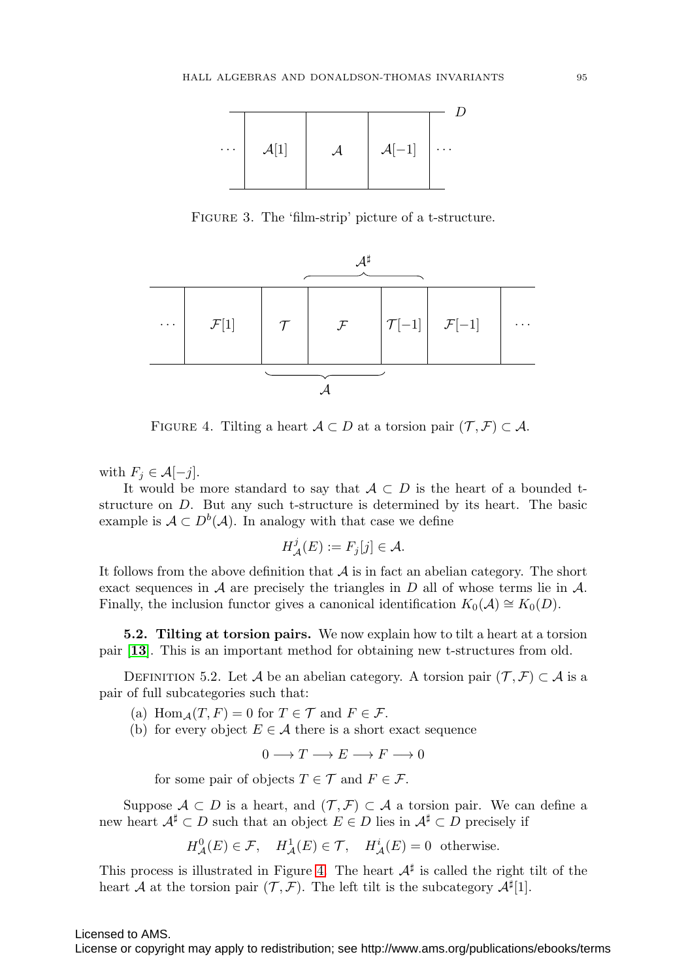

Figure 3. The 'film-strip' picture of a t-structure.



<span id="page-20-0"></span>FIGURE 4. Tilting a heart  $A \subset D$  at a torsion pair  $(\mathcal{T}, \mathcal{F}) \subset A$ .

with  $F_j \in \mathcal{A}[-j]$ .

It would be more standard to say that  $A \subset D$  is the heart of a bounded tstructure on D. But any such t-structure is determined by its heart. The basic example is  $A \subset D^b(A)$ . In analogy with that case we define

$$
H^j_{\mathcal{A}}(E) := F_j[j] \in \mathcal{A}.
$$

It follows from the above definition that  $A$  is in fact an abelian category. The short exact sequences in  $A$  are precisely the triangles in  $D$  all of whose terms lie in  $A$ . Finally, the inclusion functor gives a canonical identification  $K_0(\mathcal{A}) \cong K_0(D)$ .

**5.2. Tilting at torsion pairs.** We now explain how to tilt a heart at a torsion pair [**[13](#page-24-21)**]. This is an important method for obtaining new t-structures from old.

DEFINITION 5.2. Let A be an abelian category. A torsion pair  $(\mathcal{T}, \mathcal{F}) \subset \mathcal{A}$  is a pair of full subcategories such that:

(a) Hom $_A(T, F) = 0$  for  $T \in \mathcal{T}$  and  $F \in \mathcal{F}$ .

(b) for every object  $E \in \mathcal{A}$  there is a short exact sequence

 $0 \longrightarrow T \longrightarrow E \longrightarrow F \longrightarrow 0$ 

for some pair of objects  $T \in \mathcal{T}$  and  $F \in \mathcal{F}$ .

Suppose  $A \subset D$  is a heart, and  $(\mathcal{T}, \mathcal{F}) \subset A$  a torsion pair. We can define a new heart  $\mathcal{A}^{\sharp} \subset D$  such that an object  $E \in D$  lies in  $\mathcal{A}^{\sharp} \subset D$  precisely if

$$
H^0_{\mathcal{A}}(E) \in \mathcal{F}
$$
,  $H^1_{\mathcal{A}}(E) \in \mathcal{T}$ ,  $H^i_{\mathcal{A}}(E) = 0$  otherwise.

This process is illustrated in Figure [4.](#page-20-0) The heart  $A^{\sharp}$  is called the right tilt of the heart A at the torsion pair  $(\mathcal{T}, \mathcal{F})$ . The left tilt is the subcategory  $\mathcal{A}^{\sharp}[1]$ .

Licensed to AMS.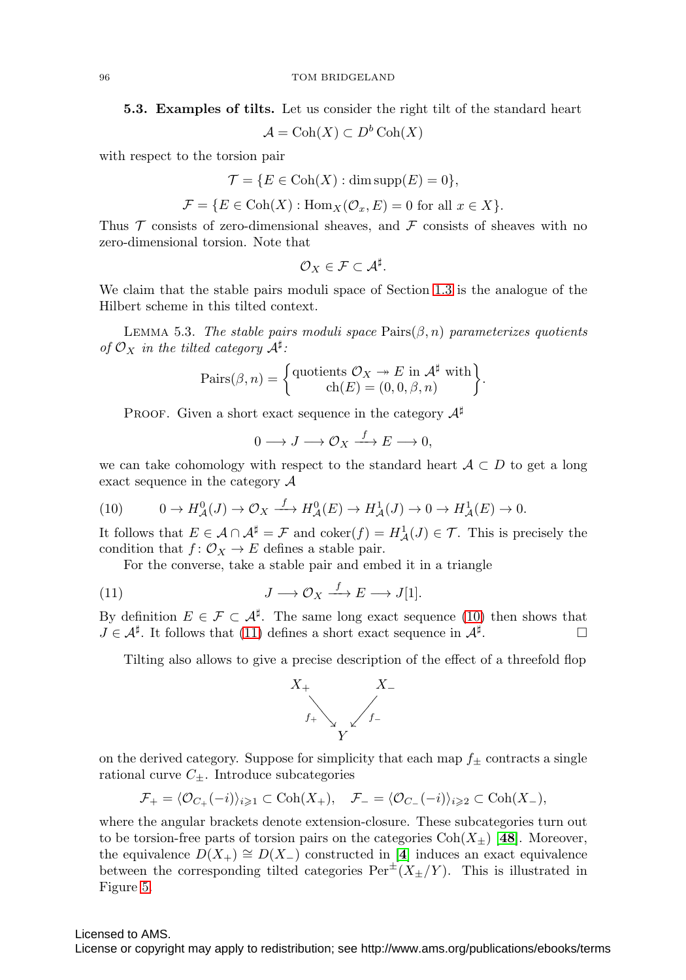**5.3. Examples of tilts.** Let us consider the right tilt of the standard heart

 $\mathcal{A} = \text{Coh}(X) \subset D^b \text{Coh}(X)$ 

with respect to the torsion pair

$$
\mathcal{T} = \{ E \in \text{Coh}(X) : \dim \text{supp}(E) = 0 \},
$$

$$
\mathcal{F} = \{ E \in \text{Coh}(X) : \text{Hom}_X(\mathcal{O}_x, E) = 0 \text{ for all } x \in X \}.
$$

Thus  $\mathcal T$  consists of zero-dimensional sheaves, and  $\mathcal F$  consists of sheaves with no zero-dimensional torsion. Note that

$$
\mathcal{O}_X\in\mathcal{F}\subset\mathcal{A}^\sharp.
$$

We claim that the stable pairs moduli space of Section [1.3](#page-2-1) is the analogue of the Hilbert scheme in this tilted context.

LEMMA 5.3. The stable pairs moduli space  $\text{Pairs}(\beta, n)$  parameterizes quotients of  $\mathcal{O}_X$  in the tilted category  $\mathcal{A}^{\sharp}$ :

$$
\text{Pairs}(\beta, n) = \begin{cases} \text{quotients } \mathcal{O}_X \twoheadrightarrow E \text{ in } \mathcal{A}^{\sharp} \text{ with} \\ \text{ch}(E) = (0, 0, \beta, n) \end{cases}.
$$

PROOF. Given a short exact sequence in the category  $A^{\sharp}$ 

$$
0 \longrightarrow J \longrightarrow \mathcal{O}_X \stackrel{f}{\longrightarrow} E \longrightarrow 0,
$$

we can take cohomology with respect to the standard heart  $A \subset D$  to get a long exact sequence in the category  $\mathcal A$ 

<span id="page-21-0"></span>(10) 
$$
0 \to H^0_{\mathcal{A}}(J) \to \mathcal{O}_X \xrightarrow{f} H^0_{\mathcal{A}}(E) \to H^1_{\mathcal{A}}(J) \to 0 \to H^1_{\mathcal{A}}(E) \to 0.
$$

It follows that  $E \in \mathcal{A} \cap \mathcal{A}^{\sharp} = \mathcal{F}$  and  $\text{coker}(f) = H^1_{\mathcal{A}}(J) \in \mathcal{T}$ . This is precisely the condition that  $f: \mathcal{O}_X \to E$  defines a stable pair.

For the converse, take a stable pair and embed it in a triangle

<span id="page-21-1"></span>(11) 
$$
J \longrightarrow \mathcal{O}_X \xrightarrow{f} E \longrightarrow J[1].
$$

By definition  $E \in \mathcal{F} \subset \mathcal{A}^{\sharp}$ . The same long exact sequence [\(10\)](#page-21-0) then shows that  $J \in \mathcal{A}^{\sharp}$ . It follows that [\(11\)](#page-21-1) defines a short exact sequence in  $\mathcal{A}^{\sharp}$ .

Tilting also allows to give a precise description of the effect of a threefold flop



on the derived category. Suppose for simplicity that each map  $f_{\pm}$  contracts a single rational curve  $C_{\pm}$ . Introduce subcategories

$$
\mathcal{F}_+ = \langle \mathcal{O}_{C_+}(-i) \rangle_{i \geq 1} \subset \text{Coh}(X_+), \quad \mathcal{F}_- = \langle \mathcal{O}_{C_-}(-i) \rangle_{i \geq 2} \subset \text{Coh}(X_-),
$$

where the angular brackets denote extension-closure. These subcategories turn out to be torsion-free parts of torsion pairs on the categories  $Coh(X_+)$  [[48](#page-25-14)]. Moreover, the equivalence  $D(X_+) \cong D(X_-)$  constructed in [[4](#page-23-5)] induces an exact equivalence between the corresponding tilted categories  $Per^{\pm}(X_{\pm}/Y)$ . This is illustrated in Figure [5.](#page-22-0)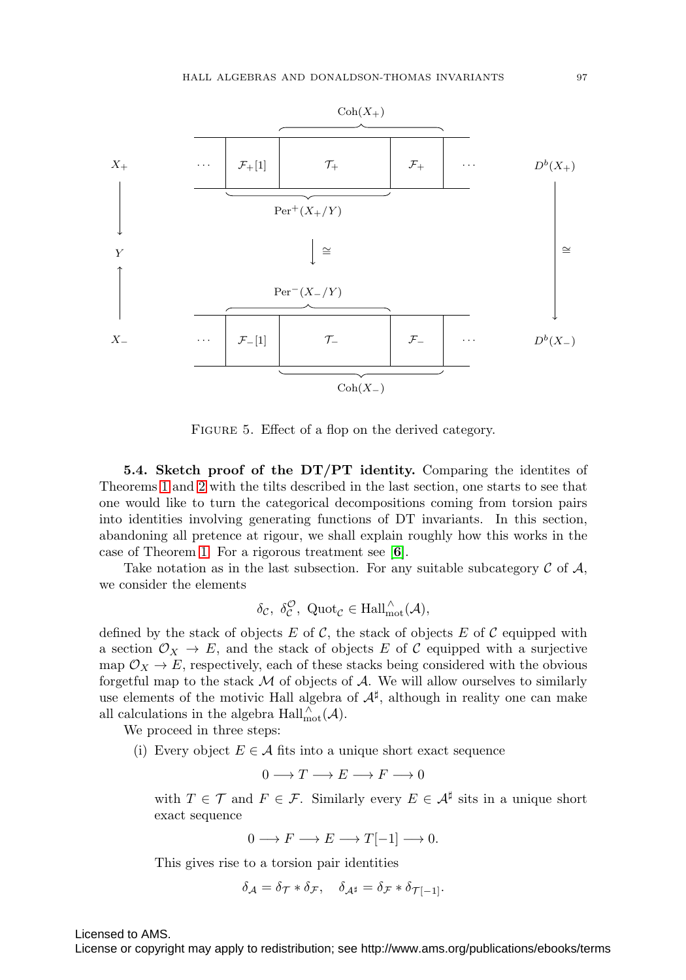

<span id="page-22-0"></span>FIGURE 5. Effect of a flop on the derived category.

**5.4. Sketch proof of the DT/PT identity.** Comparing the identites of Theorems [1](#page-1-0) and [2](#page-2-0) with the tilts described in the last section, one starts to see that one would like to turn the categorical decompositions coming from torsion pairs into identities involving generating functions of DT invariants. In this section, abandoning all pretence at rigour, we shall explain roughly how this works in the case of Theorem [1.](#page-1-0) For a rigorous treatment see [**[6](#page-23-3)**].

Take notation as in the last subsection. For any suitable subcategory  $\mathcal C$  of  $\mathcal A$ , we consider the elements

$$
\delta_{\mathcal{C}}, \ \delta_{\mathcal{C}}^{\mathcal{O}}, \ \mathrm{Quot}_{\mathcal{C}} \in \mathrm{Hall}_{\mathrm{mot}}^{\wedge}(\mathcal{A}),
$$

defined by the stack of objects E of C, the stack of objects E of C equipped with a section  $\mathcal{O}_X \to E$ , and the stack of objects E of C equipped with a surjective map  $\mathcal{O}_X \to E$ , respectively, each of these stacks being considered with the obvious forgetful map to the stack  $M$  of objects of  $A$ . We will allow ourselves to similarly use elements of the motivic Hall algebra of  $\mathcal{A}^{\sharp}$ , although in reality one can make all calculations in the algebra  $\text{Hall}_{\text{mot}}^{\wedge}(\mathcal{A})$ .

We proceed in three steps:

(i) Every object  $E \in \mathcal{A}$  fits into a unique short exact sequence

$$
0 \longrightarrow T \longrightarrow E \longrightarrow F \longrightarrow 0
$$

with  $T \in \mathcal{T}$  and  $F \in \mathcal{F}$ . Similarly every  $E \in \mathcal{A}^{\sharp}$  sits in a unique short exact sequence

$$
0 \longrightarrow F \longrightarrow E \longrightarrow T[-1] \longrightarrow 0.
$$

This gives rise to a torsion pair identities

$$
\delta_{\mathcal{A}} = \delta_{\mathcal{T}} * \delta_{\mathcal{F}}, \quad \delta_{\mathcal{A}^{\sharp}} = \delta_{\mathcal{F}} * \delta_{\mathcal{T}[-1]}.
$$

Licensed to AMS.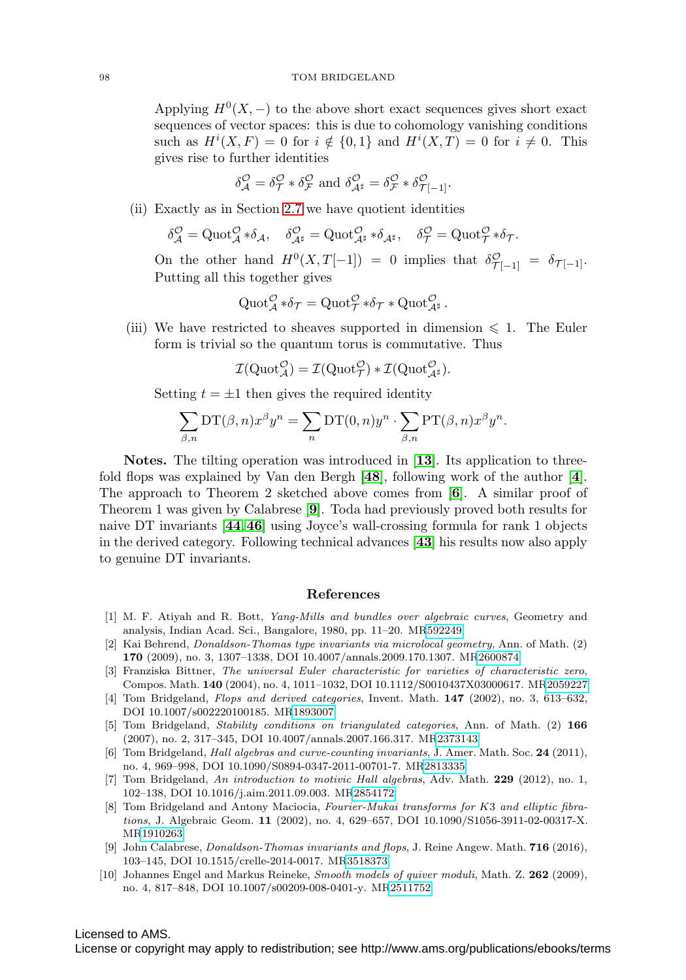#### 98 TOM BRIDGELAND

Applying  $H^0(X, -)$  to the above short exact sequences gives short exact sequences of vector spaces: this is due to cohomology vanishing conditions such as  $H^i(X, F) = 0$  for  $i \notin \{0, 1\}$  and  $H^i(X, T) = 0$  for  $i \neq 0$ . This gives rise to further identities

$$
\delta^{\mathcal{O}}_{\mathcal{A}} = \delta^{\mathcal{O}}_{\mathcal{T}} * \delta^{\mathcal{O}}_{\mathcal{F}} \text{ and } \delta^{\mathcal{O}}_{\mathcal{A}^{\sharp}} = \delta^{\mathcal{O}}_{\mathcal{F}} * \delta^{\mathcal{O}}_{\mathcal{T}[-1]}.
$$

(ii) Exactly as in Section [2.7](#page-8-1) we have quotient identities

$$
\delta^{\mathcal{O}}_{\mathcal{A}} = \mathrm{Quot}_{\mathcal{A}}^{\mathcal{O}} * \delta_{\mathcal{A}}, \quad \delta^{\mathcal{O}}_{\mathcal{A}^{\sharp}} = \mathrm{Quot}_{\mathcal{A}^{\sharp}}^{\mathcal{O}} * \delta_{\mathcal{A}^{\sharp}}, \quad \delta^{\mathcal{O}}_{\mathcal{T}} = \mathrm{Quot}_{\mathcal{T}}^{\mathcal{O}} * \delta_{\mathcal{T}}.
$$

On the other hand  $H^0(X,T[-1]) = 0$  implies that  $\delta^{\mathcal{O}}_{\mathcal{T}[-1]} = \delta_{\mathcal{T}[-1]}$ . Putting all this together gives

$$
\operatorname{Quot}_{\mathcal{A}}^{\mathcal{O}} * \delta_{\mathcal{T}} = \operatorname{Quot}_{\mathcal{T}}^{\mathcal{O}} * \delta_{\mathcal{T}} * \operatorname{Quot}_{\mathcal{A}^{\sharp}}^{\mathcal{O}}.
$$

(iii) We have restricted to sheaves supported in dimension  $\leq 1$ . The Euler form is trivial so the quantum torus is commutative. Thus

$$
\mathcal{I}(\mathrm{Quot}_{\mathcal{A}}^{\mathcal{O}}) = \mathcal{I}(\mathrm{Quot}_{\mathcal{T}}^{\mathcal{O}}) * \mathcal{I}(\mathrm{Quot}_{\mathcal{A}^{\sharp}}^{\mathcal{O}}).
$$

Setting  $t = \pm 1$  then gives the required identity

$$
\sum_{\beta,n} \mathrm{DT}(\beta,n) x^{\beta} y^n = \sum_{n} \mathrm{DT}(0,n) y^n \cdot \sum_{\beta,n} \mathrm{PT}(\beta,n) x^{\beta} y^n.
$$

**Notes.** The tilting operation was introduced in [**[13](#page-24-21)**]. Its application to threefold flops was explained by Van den Bergh [**[48](#page-25-14)**], following work of the author [**[4](#page-23-5)**]. The approach to Theorem 2 sketched above comes from [**[6](#page-23-3)**]. A similar proof of Theorem 1 was given by Calabrese [**[9](#page-23-2)**]. Toda had previously proved both results for naive DT invariants [**[44](#page-25-3)**,**[46](#page-25-1)**] using Joyce's wall-crossing formula for rank 1 objects in the derived category. Following technical advances [**[43](#page-25-2)**] his results now also apply to genuine DT invariants.

### **References**

- <span id="page-23-4"></span>[1] M. F. Atiyah and R. Bott, Yang-Mills and bundles over algebraic curves, Geometry and analysis, Indian Acad. Sci., Bangalore, 1980, pp. 11–20. M[R592249](http://www.ams.org/mathscinet-getitem?mr=592249)
- <span id="page-23-0"></span>[2] Kai Behrend, Donaldson-Thomas type invariants via microlocal geometry, Ann. of Math. (2) **170** (2009), no. 3, 1307–1338, DOI 10.4007/annals.2009.170.1307. M[R2600874](http://www.ams.org/mathscinet-getitem?mr=2600874)
- <span id="page-23-8"></span>[3] Franziska Bittner, The universal Euler characteristic for varieties of characteristic zero, Compos. Math. **140** (2004), no. 4, 1011–1032, DOI 10.1112/S0010437X03000617. M[R2059227](http://www.ams.org/mathscinet-getitem?mr=2059227)
- <span id="page-23-5"></span>[4] Tom Bridgeland, Flops and derived categories, Invent. Math. **147** (2002), no. 3, 613–632, DOI 10.1007/s002220100185. M[R1893007](http://www.ams.org/mathscinet-getitem?mr=1893007)
- <span id="page-23-9"></span>[5] Tom Bridgeland, Stability conditions on triangulated categories, Ann. of Math. (2) **166** (2007), no. 2, 317–345, DOI 10.4007/annals.2007.166.317. M[R2373143](http://www.ams.org/mathscinet-getitem?mr=2373143)
- <span id="page-23-3"></span>[6] Tom Bridgeland, Hall algebras and curve-counting invariants, J. Amer. Math. Soc. **24** (2011), no. 4, 969–998, DOI 10.1090/S0894-0347-2011-00701-7. M[R2813335](http://www.ams.org/mathscinet-getitem?mr=2813335)
- <span id="page-23-7"></span>[7] Tom Bridgeland, An introduction to motivic Hall algebras, Adv. Math. **229** (2012), no. 1, 102–138, DOI 10.1016/j.aim.2011.09.003. M[R2854172](http://www.ams.org/mathscinet-getitem?mr=2854172)
- <span id="page-23-1"></span>[8] Tom Bridgeland and Antony Maciocia, Fourier-Mukai transforms for K3 and elliptic fibrations, J. Algebraic Geom. **11** (2002), no. 4, 629–657, DOI 10.1090/S1056-3911-02-00317-X. M[R1910263](http://www.ams.org/mathscinet-getitem?mr=1910263)
- <span id="page-23-2"></span>[9] John Calabrese, Donaldson-Thomas invariants and flops, J. Reine Angew. Math. **716** (2016), 103–145, DOI 10.1515/crelle-2014-0017. M[R3518373](http://www.ams.org/mathscinet-getitem?mr=3518373)
- <span id="page-23-6"></span>[10] Johannes Engel and Markus Reineke, Smooth models of quiver moduli, Math. Z. **262** (2009), no. 4, 817–848, DOI 10.1007/s00209-008-0401-y. M[R2511752](http://www.ams.org/mathscinet-getitem?mr=2511752)

Licensed to AMS.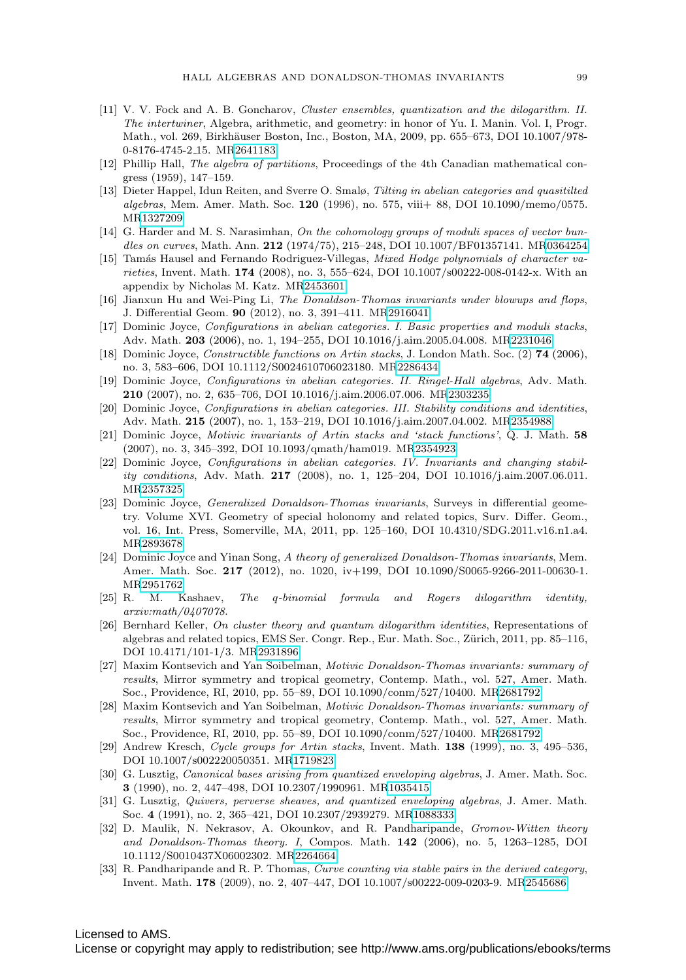- <span id="page-24-10"></span>[11] V. V. Fock and A. B. Goncharov, Cluster ensembles, quantization and the dilogarithm. II. The intertwiner, Algebra, arithmetic, and geometry: in honor of Yu. I. Manin. Vol. I, Progr. Math., vol. 269, Birkhäuser Boston, Inc., Boston, MA, 2009, pp. 655–673, DOI 10.1007/978-0-8176-4745-2 15. M[R2641183](http://www.ams.org/mathscinet-getitem?mr=2641183)
- <span id="page-24-13"></span>[12] Phillip Hall, The algebra of partitions, Proceedings of the 4th Canadian mathematical congress (1959), 147–159.
- <span id="page-24-21"></span>[13] Dieter Happel, Idun Reiten, and Sverre O. Smalø, Tilting in abelian categories and quasitilted algebras, Mem. Amer. Math. Soc. **120** (1996), no. 575, viii+ 88, DOI 10.1090/memo/0575. M[R1327209](http://www.ams.org/mathscinet-getitem?mr=1327209)
- <span id="page-24-3"></span>[14] G. Harder and M. S. Narasimhan, On the cohomology groups of moduli spaces of vector bundles on curves, Math. Ann. **212** (1974/75), 215–248, DOI 10.1007/BF01357141. M[R0364254](http://www.ams.org/mathscinet-getitem?mr=0364254)
- <span id="page-24-19"></span>[15] Tamás Hausel and Fernando Rodriguez-Villegas, Mixed Hodge polynomials of character varieties, Invent. Math. **174** (2008), no. 3, 555–624, DOI 10.1007/s00222-008-0142-x. With an appendix by Nicholas M. Katz. M[R2453601](http://www.ams.org/mathscinet-getitem?mr=2453601)
- <span id="page-24-1"></span>[16] Jianxun Hu and Wei-Ping Li, The Donaldson-Thomas invariants under blowups and flops, J. Differential Geom. **90** (2012), no. 3, 391–411. M[R2916041](http://www.ams.org/mathscinet-getitem?mr=2916041)
- <span id="page-24-4"></span>[17] Dominic Joyce, Configurations in abelian categories. I. Basic properties and moduli stacks, Adv. Math. **203** (2006), no. 1, 194–255, DOI 10.1016/j.aim.2005.04.008. M[R2231046](http://www.ams.org/mathscinet-getitem?mr=2231046)
- [18] Dominic Joyce, Constructible functions on Artin stacks, J. London Math. Soc. (2) **74** (2006), no. 3, 583–606, DOI 10.1112/S0024610706023180. M[R2286434](http://www.ams.org/mathscinet-getitem?mr=2286434)
- <span id="page-24-16"></span>[19] Dominic Joyce, Configurations in abelian categories. II. Ringel-Hall algebras, Adv. Math. **210** (2007), no. 2, 635–706, DOI 10.1016/j.aim.2006.07.006. M[R2303235](http://www.ams.org/mathscinet-getitem?mr=2303235)
- <span id="page-24-17"></span>[20] Dominic Joyce, Configurations in abelian categories. III. Stability conditions and identities, Adv. Math. **215** (2007), no. 1, 153–219, DOI 10.1016/j.aim.2007.04.002. M[R2354988](http://www.ams.org/mathscinet-getitem?mr=2354988)
- <span id="page-24-18"></span>[21] Dominic Joyce, Motivic invariants of Artin stacks and 'stack functions', Q. J. Math. **58** (2007), no. 3, 345–392, DOI 10.1093/qmath/ham019. M[R2354923](http://www.ams.org/mathscinet-getitem?mr=2354923)
- <span id="page-24-5"></span>[22] Dominic Joyce, Configurations in abelian categories. IV. Invariants and changing stability conditions, Adv. Math. **217** (2008), no. 1, 125–204, DOI 10.1016/j.aim.2007.06.011. M[R2357325](http://www.ams.org/mathscinet-getitem?mr=2357325)
- <span id="page-24-8"></span>[23] Dominic Joyce, Generalized Donaldson-Thomas invariants, Surveys in differential geometry. Volume XVI. Geometry of special holonomy and related topics, Surv. Differ. Geom., vol. 16, Int. Press, Somerville, MA, 2011, pp. 125–160, DOI 10.4310/SDG.2011.v16.n1.a4. M[R2893678](http://www.ams.org/mathscinet-getitem?mr=2893678)
- <span id="page-24-7"></span>[24] Dominic Joyce and Yinan Song, A theory of generalized Donaldson-Thomas invariants, Mem. Amer. Math. Soc. **217** (2012), no. 1020, iv+199, DOI 10.1090/S0065-9266-2011-00630-1. M[R2951762](http://www.ams.org/mathscinet-getitem?mr=2951762)
- <span id="page-24-11"></span>[25] R. M. Kashaev, The q-binomial formula and Rogers dilogarithm identity, arxiv:math/0407078.
- <span id="page-24-12"></span>[26] Bernhard Keller, On cluster theory and quantum dilogarithm identities, Representations of algebras and related topics, EMS Ser. Congr. Rep., Eur. Math. Soc., Zürich, 2011, pp. 85–116, DOI 10.4171/101-1/3. M[R2931896](http://www.ams.org/mathscinet-getitem?mr=2931896)
- <span id="page-24-6"></span>[27] Maxim Kontsevich and Yan Soibelman, Motivic Donaldson-Thomas invariants: summary of results, Mirror symmetry and tropical geometry, Contemp. Math., vol. 527, Amer. Math. Soc., Providence, RI, 2010, pp. 55–89, DOI 10.1090/conm/527/10400. M[R2681792](http://www.ams.org/mathscinet-getitem?mr=2681792)
- <span id="page-24-9"></span>[28] Maxim Kontsevich and Yan Soibelman, Motivic Donaldson-Thomas invariants: summary of results, Mirror symmetry and tropical geometry, Contemp. Math., vol. 527, Amer. Math. Soc., Providence, RI, 2010, pp. 55–89, DOI 10.1090/conm/527/10400. M[R2681792](http://www.ams.org/mathscinet-getitem?mr=2681792)
- <span id="page-24-20"></span>[29] Andrew Kresch, Cycle groups for Artin stacks, Invent. Math. **138** (1999), no. 3, 495–536, DOI 10.1007/s002220050351. M[R1719823](http://www.ams.org/mathscinet-getitem?mr=1719823)
- <span id="page-24-14"></span>[30] G. Lusztig, *Canonical bases arising from quantized enveloping algebras*, J. Amer. Math. Soc. **3** (1990), no. 2, 447–498, DOI 10.2307/1990961. M[R1035415](http://www.ams.org/mathscinet-getitem?mr=1035415)
- <span id="page-24-15"></span>[31] G. Lusztig, Quivers, perverse sheaves, and quantized enveloping algebras, J. Amer. Math. Soc. **4** (1991), no. 2, 365–421, DOI 10.2307/2939279. M[R1088333](http://www.ams.org/mathscinet-getitem?mr=1088333)
- <span id="page-24-2"></span>[32] D. Maulik, N. Nekrasov, A. Okounkov, and R. Pandharipande, Gromov-Witten theory and Donaldson-Thomas theory. I, Compos. Math. **142** (2006), no. 5, 1263–1285, DOI 10.1112/S0010437X06002302. M[R2264664](http://www.ams.org/mathscinet-getitem?mr=2264664)
- <span id="page-24-0"></span>[33] R. Pandharipande and R. P. Thomas, Curve counting via stable pairs in the derived category, Invent. Math. **178** (2009), no. 2, 407–447, DOI 10.1007/s00222-009-0203-9. M[R2545686](http://www.ams.org/mathscinet-getitem?mr=2545686)

## Licensed to AMS.